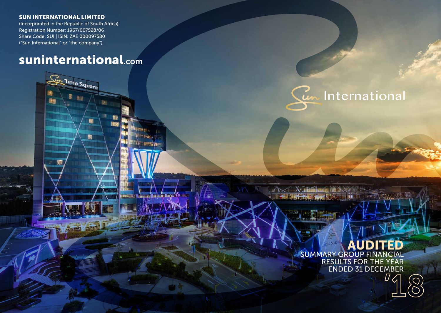### SUN INTERNATIONAL LIMITED

画

(Incorporated in the Republic of South Africa) Registration Number: 1967/007528/06 Share Code: SUI | ISIN: ZAE 000097580 ("Sun International" or "the company")

# suninternational.com

**Time Square** 

価

雷

**IDINATION** 

Cur International

## AUDITED SUMMARY GROUP FINANCIAL

RESULTS FOR THE YEAR ENDED 31 DECEMBER

X: Think and him ber

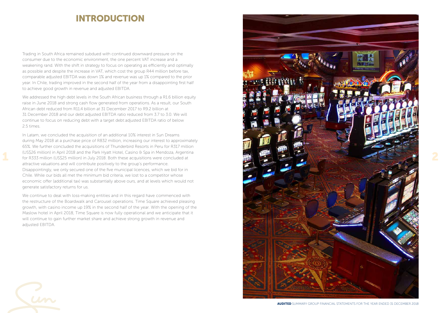## **INTRODUCTION**

Trading in South Africa remained subdued with continued downward pressure on the consumer due to the economic environment, the one percent VAT increase and a weakening rand. With the shift in strategy to focus on operating as efficiently and optimally as possible and despite the increase in VAT, which cost the group R44 million before tax, comparable adjusted EBITDA was down 1% and revenue was up 1% compared to the prior year. In Chile, trading improved in the second half of the year from a disappointing first half to achieve good growth in revenue and adjusted EBITDA.

We addressed the high debt levels in the South African business through a R1.6 billion equity raise in June 2018 and strong cash flow generated from operations. As a result, our South African debt reduced from R11.4 billion at 31 December 2017 to R9.2 billion at 31 December 2018 and our debt:adjusted EBITDA ratio reduced from 3.7 to 3.0. We will continue to focus on reducing debt with a target debt:adjusted EBITDA ratio of below 2.5 times.

In Latam, we concluded the acquisition of an additional 10% interest in Sun Dreams during May 2018 at a purchase price of R832 million, increasing our interest to approximately 65%. We further concluded the acquisitions of Thunderbird Resorts in Peru for R317 million (US\$26 million) in April 2018 and the Park Hyatt Hotel, Casino & Spa in Mendoza, Argentina for R333 million (US\$25 million) in July 2018. Both these acquisitions were concluded at attractive valuations and will contribute positively to the group's performance. Disappointingly, we only secured one of the five municipal licences, which we bid for in Chile. While our bids all met the minimum bid criteria, we lost to a competitor whose economic offer (additional tax) was substantially above ours, and at levels which would not generate satisfactory returns for us.

We continue to deal with loss-making entities and in this regard have commenced with the restructure of the Boardwalk and Carousel operations. Time Square achieved pleasing growth, with casino income up 19% in the second half of the year. With the opening of the Maslow hotel in April 2018, Time Square is now fully operational and we anticipate that it will continue to gain further market share and achieve strong growth in revenue and adjusted EBITDA.

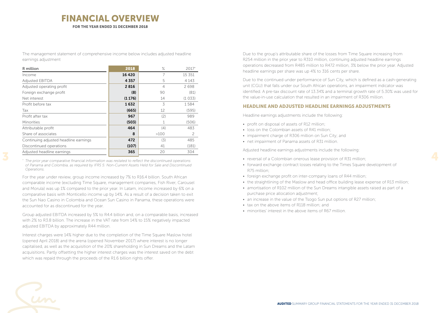### FINANCIAL OVERVIEW FOR THE YEAR ENDED 31 DECEMBER 2018

The management statement of comprehensive income below includes adjusted headline earnings adjustment

| R million                             | 2018    | $\%$           | 2017*   |
|---------------------------------------|---------|----------------|---------|
| Income                                | 16 4 20 | 7              | 15 351  |
| <b>Adjusted EBITDA</b>                | 4357    | 5              | 4 1 4 3 |
| Adjusted operating profit             | 2816    | $\overline{4}$ | 2698    |
| Foreign exchange profit               | (8)     | 90             | (81)    |
| Net interest                          | (1176)  | 14             | (1033)  |
| Profit before tax                     | 1632    | 3              | 1584    |
| Tax                                   | (665)   | 12             | (595)   |
| Profit after tax                      | 967     | (2)            | 989     |
| Minorities                            | (503)   |                | (506)   |
| Attributable profit                   | 464     | (4)            | 483     |
| Share of associates                   | 8       | >100           | 2       |
| Continuing adjusted headline earnings | 472     | (3)            | 485     |
| Discontinued operations               | (107)   | 41             | (181)   |
| Adjusted headline earnings            | 365     | 20             | 304     |

*\* The prior year comparative financial information was restated to reflect the discontinued operations of Panama and Colombia, as required by IFRS 5: Non-Current Assets Held for Sale and Discontinued Operations.*

For the year under review, group income increased by 7% to R16.4 billion. South African comparable income (excluding Time Square, management companies, Fish River, Carousel and Morula) was up 1% compared to the prior year. In Latam, income increased by 6% on a comparative basis with Monticello income up by 14%. As a result of a decision taken to exit the Sun Nao Casino in Colombia and Ocean Sun Casino in Panama, these operations were accounted for as discontinued for the year.

Group adjusted EBITDA increased by 5% to R4.4 billion and, on a comparable basis, increased with 2% to R3.8 billion. The increase in the VAT rate from 14% to 15% negatively impacted adjusted EBITDA by approximately R44 million.

Interest charges were 14% higher due to the completion of the Time Square Maslow hotel (opened April 2018) and the arena (opened November 2017) where interest is no longer capitalised, as well as the acquisition of the 20% shareholding in Sun Dreams and the Latam acquisitions. Partly offsetting the higher interest charges was the interest saved on the debt which was repaid through the proceeds of the R1.6 billion rights offer.

Due to the group's attributable share of the losses from Time Square increasing from R254 million in the prior year to R310 million, continuing adjusted headline earnings operations decreased from R485 million to R472 million, 3% below the prior year. Adjusted headline earnings per share was up 4% to 316 cents per share.

Due to the continued under performance of Sun City, which is defined as a cash-generating unit (CGU) that falls under our South African operations, an impairment indicator was identified. A pre-tax discount rate of 13.34% and a terminal growth rate of 5.30% was used for the value-in-use calculation that resulted in an impairment of R306 million.

### HEADLINE AND ADJUSTED HEADLINE EARNINGS ADJUSTMENTS

Headline earnings adjustments include the following:

- profit on disposal of assets of R12 million;
- loss on the Colombian assets of R41 million;
- impairment charge of R306 million on Sun City; and
- net impairment of Panama assets of R31 million.

Adjusted headline earnings adjustments include the following:

- reversal of a Colombian onerous lease provision of R31 million;
- forward exchange contract losses relating to the Times Square development of R75 million;
- foreign exchange profit on inter-company loans of R44 million;
- the straightlining of the Maslow and head office building lease expense of R13 million;
- amortisation of R102 million of the Sun Dreams intangible assets raised as part of a purchase price allocation adjustment;
- an increase in the value of the Tsogo Sun put options of R27 million;
- tax on the above items of R118 million; and
- minorities' interest in the above items of R67 million.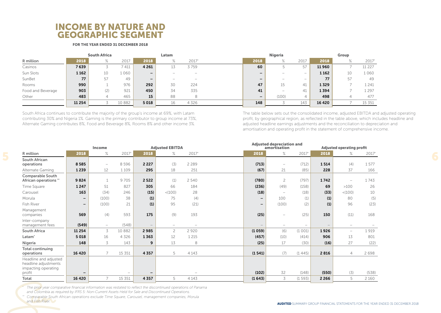### INCOME BY NATURE AND GEOGRAPHIC SEGMENT

### FOR THE YEAR ENDED 31 DECEMBER 2018

| 2018<br>2017<br>2017*<br>2018<br>2018<br>R million<br>2018<br>2017<br>$\circ$<br>$\circ$<br>$\sqrt{\circ}$<br>$\sqrt{\circ}$                               |    |          |
|------------------------------------------------------------------------------------------------------------------------------------------------------------|----|----------|
|                                                                                                                                                            |    | 2017*    |
| 7 639<br>4 2 6 1<br>Casinos<br>3759<br>11960<br>7 411<br>60<br>57                                                                                          |    | 11 2 2 7 |
| 1 1 6 2<br>Sun Slots<br>.060<br>1 1 6 2<br>10<br>$-$<br>$\qquad \qquad \blacksquare$<br>$\qquad \qquad -$<br>$-$<br>$\hspace{0.05cm}$<br>$\hspace{0.05cm}$ | 10 | 1060     |
| SunBet<br>77<br>77<br>57<br>49<br>$-$<br>$\qquad \qquad -$<br>$\overline{\phantom{0}}$<br>$\overline{\phantom{a}}$<br>$\overline{\phantom{a}}$             | 57 | 49       |
| 990<br>292<br>47<br>1329<br>Rooms<br>976<br>30<br>224<br>41<br>15                                                                                          |    | 1 241    |
| 903<br>450<br>1394<br>34<br>335<br>Food and Beverage<br>921<br>(2)<br>41<br>41<br>$\overline{\phantom{a}}$                                                 |    | 1297     |
| 483<br>15<br>(100)<br>498<br>Other<br>465<br>88<br>8<br>4<br>$\qquad \qquad \blacksquare$                                                                  |    | 477      |
| 11 2 5 4<br>148<br>10 8 8 2<br>5018<br>143<br>16 4 20<br>4 3 2 6<br>16                                                                                     |    | 15 3 5 1 |

South Africa continues to contribute the majority of the group's income at 69%, with Latam contributing 30% and Nigeria 1%. Gaming is the primary contributor to group income at 73%, Alternate Gaming contributes 8%, Food and Beverage 8%, Rooms 8% and other income 3%.

The table below sets out the consolidated income, adjusted EBITDA and adjusted operating profit, by geographical region, as reflected in the table above, which includes headline and adjusted headline earnings adjustments and the reconciliation to depreciation and amortisation and operating profit in the statement of comprehensive income.

|                                                                                |                   | Income                   |                          |         | <b>Adjusted EBITDA</b>   |                          |                          | <b>Adjusted depreciation and</b><br>amortisation |                          |         | <b>Adjusted operating profit</b> |         |
|--------------------------------------------------------------------------------|-------------------|--------------------------|--------------------------|---------|--------------------------|--------------------------|--------------------------|--------------------------------------------------|--------------------------|---------|----------------------------------|---------|
| R million                                                                      | 2018              | $\%$                     | 2017*                    | 2018    | $\%$                     | 2017*                    | 2018                     | $\%$                                             | $2017*$                  | 2018    | $\%$                             | 2017*   |
| <b>South African</b><br>operations                                             | 8585              | $\overline{\phantom{a}}$ | 8596                     | 2 2 2 7 | (3)                      | 2 2 8 9                  | (713)                    | $\overline{\phantom{a}}$                         | (712)                    | 1514    | (4)                              | 1577    |
| Alternate Gaming                                                               | 1239              | 12                       | 1109                     | 295     | 18                       | 251                      | (67)                     | 21                                               | (85)                     | 228     | 37                               | 166     |
| <b>Comparable South</b><br>African operations **                               | 9824              |                          | 9705                     | 2522    | (1)                      | 2 5 4 0                  | (780)                    | $\overline{c}$                                   | (797)                    | 1742    | $\overline{\phantom{m}}$         | 1743    |
| Time Square                                                                    | 1247              | 51                       | 827                      | 305     | 66                       | 184                      | (236)                    | (49)                                             | (158)                    | 69      | $>100$                           | 26      |
| Carousel                                                                       | 163               | (34)                     | 246                      | (15)    | < (100)                  | 28                       | (18)                     | $\overline{\phantom{a}}$                         | (18)                     | (33)    | < (100)                          | 10      |
| Morula                                                                         | -                 | (100)                    | 38                       | (1)     | 75                       | (4)                      | -                        | 100                                              | (1)                      | (1)     | 80                               | (5)     |
| <b>Fish River</b>                                                              | $\qquad \qquad -$ | (100)                    | 21                       | (1)     | 95                       | (21)                     | $\qquad \qquad -$        | (100)                                            | (2)                      | (1)     | 96                               | (23)    |
| Management<br>companies                                                        | 569               | (4)                      | 593                      | 175     | (9)                      | 193                      | (25)                     | $\overline{\phantom{m}}$                         | (25)                     | 150     | (11)                             | 168     |
| Inter-company<br>management fees                                               | (549)             | $\overline{\phantom{m}}$ | (548)                    |         | $\overline{\phantom{0}}$ | $\overline{\phantom{0}}$ | $\overline{\phantom{m}}$ | $\overline{\phantom{0}}$                         | $\overline{\phantom{0}}$ |         | $\qquad \qquad -$                |         |
| <b>South Africa</b>                                                            | 11 2 5 4          | 3                        | 10 882                   | 2985    | $\overline{c}$           | 2920                     | (1059)                   | (6)                                              | (1 001)                  | 1926    | $\overline{\phantom{0}}$         | 1919    |
| Latam <sup>*</sup>                                                             | 5018              | 16                       | 4 3 2 6                  | 1363    | 12                       | 1 2 1 5                  | (457)                    | (10)                                             | (414)                    | 906     | 13                               | 801     |
| Nigeria                                                                        | 148               | 3                        | 143                      | 9       | 13                       | 8                        | (25)                     | 17                                               | (30)                     | (16)    | 27                               | (22)    |
| <b>Total continuing</b><br>operations                                          | 16 4 20           |                          | 15 3 5 1                 | 4 3 5 7 | 5                        | 4 1 4 3                  | (1541)                   | (7)                                              | (1445)                   | 2816    | $\overline{4}$                   | 2698    |
| Headline and adjusted<br>headline adjustments<br>impacting operating<br>profit |                   |                          | $\overline{\phantom{m}}$ | -       |                          |                          | (102)                    | 32                                               | (148)                    | (550)   | (3)                              | (538)   |
| Total                                                                          | 16 4 20           | $\overline{7}$           | 15 3 5 1                 | 4 3 5 7 | 5                        | 4 1 4 3                  | (1643)                   | 3                                                | (1593)                   | 2 2 6 6 | 5                                | 2 1 6 0 |
|                                                                                |                   |                          |                          |         |                          |                          |                          |                                                  |                          |         |                                  |         |

 *The prior year comparative financial information was restated to reflect the discontinued operations of Panama and Colombia as required by IFRS 5: Non-Current Assets Held for Sale and Discontinued Operations.*

*\**

*\*\* Comparable South African operations exclude Time Square, Carousel, management companies, Morula and Fish River.*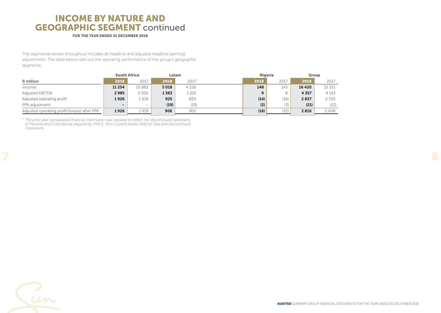## INCOME BY NATURE AND GEOGRAPHIC SEGMENT continued

### FOR THE YEAR ENDED 31 DECEMBER 2018

The segmental review throughout includes all headline and adjusted headline earnings adjustments. The table below sets out the operating performance of the group's geographic segments.

|                                              | <b>South Africa</b><br>Latam |                   | Nigeria |         | Group |      |         |         |
|----------------------------------------------|------------------------------|-------------------|---------|---------|-------|------|---------|---------|
| R million                                    | 2018                         | 2017              | 2018    | 2017*   | 2018  | 2017 | 2018    | 2017    |
| Income                                       | 11 2 5 4                     | 10 882            | 5018    | 4 3 2 6 | 148   | 143  | 16 4 20 | 15 351  |
| <b>Adjusted EBITDA</b>                       | 2985                         | 2920              | 1 363   | 1 215   |       | 8    | 4357    | 4 1 4 3 |
| Adjusted operating profit                    | 1926                         | 1 919             | 925     | 820     | (14)  | (19) | 2837    | 2720    |
| PPA adjustment                               | -                            | $\hspace{0.05cm}$ | (19)    | (19)    | (2)   | (3)  | (21)    | (22)    |
| Adjusted operating profit/(losses) after PPA | 1926                         | 1 919             | 906     | 801     | (16)  | (22) | 2816    | 2698    |

*\* The prior year comparative financial information was restated to reflect the discontinued operations of Panama and Colombia as required by IFRS 5: Non-Current Assets Held for Sale and Discontinued Operations.*

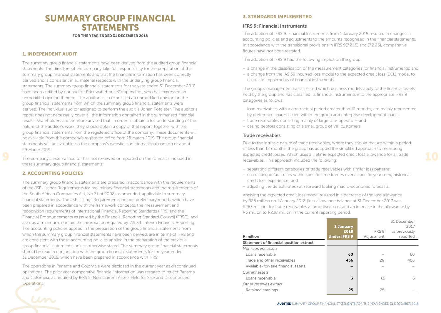### SUMMARY GROUP FINANCIAL STATEMENTS FOR THE YEAR ENDED 31 DECEMBER 2018

### 1. INDEPENDENT AUDIT

The summary group financial statements have been derived from the audited group financial statements. The directors of the company take full responsibility for the preparation of the summary group financial statements and that the financial information has been correctly derived and is consistent in all material respects with the underlying group financial statements. The summary group financial statements for the year ended 31 December 2018 have been audited by our auditor PricewaterhouseCoopers Inc., who has expressed an unmodified opinion thereon. The auditors also expressed an unmodified opinion on the group financial statements from which the summary group financial statements were derived. The individual auditor assigned to perform the audit is Johan Potgieter. The auditor's report does not necessarily cover all the information contained in the summarised financial results. Shareholders are therefore advised that, in order to obtain a full understanding of the nature of the auditor's work, they should obtain a copy of that report, together with the group financial statements from the registered office of the company. These documents will be available from the company's registered office from 18 March 2019. The group financial statements will be available on the company's website, suninternational.com on or about 29 March 2019.

The company's external auditor has not reviewed or reported on the forecasts included in these summary group financial statements.

### 2. ACCOUNTING POLICIES

The summary group financial statements are prepared in accordance with the requirements of the JSE Listings Requirements for preliminary financial statements and the requirements of the South African Companies Act, No 71 of 2008, as amended, applicable to summary financial statements. The JSE Listings Requirements include preliminary reports which have been prepared in accordance with the framework concepts, the measurement and recognition requirements of International Financial Reporting Standards (IFRS) and the Financial Pronouncements as issued by the Financial Reporting Standard Council (FRSC), and also, as a minimum, contain the information required by IAS 34: Interim Financial Reporting. The accounting policies applied in the preparation of the group financial statements from which the summary group financial statements have been derived, are in terms of IFRS and are consistent with those accounting policies applied in the preparation of the previous group financial statements, unless otherwise stated. The summary group financial statements should be read in conjunction with the group financial statements for the year ended 31 December 2018, which have been prepared in accordance with IFRS.

The operations in Panama and Colombia were disclosed in the current year as discontinued operations. The prior year comparative financial information was restated to reflect Panama and Colombia, as required by IFRS 5: Non Current Assets Held for Sale and Discontinued **Operations** 

### 3. STANDARDS IMPLEMENTED

### IFRS 9: Financial Instruments

The adoption of IFRS 9: Financial Instruments from 1 January 2018 resulted in changes in accounting policies and adjustments to the amounts recognised in the financial statements. In accordance with the transitional provisions in IFRS 9(7.2.15) and (7.2.26), comparative figures have not been restated.

The adoption of IFRS 9 had the following impact on the group:

- a change in the classification of the measurement categories for financial instruments; and
- a change from the IAS 39 incurred loss model to the expected credit loss (ECL) model to calculate impairments of financial instruments.

The group's management has assessed which business models apply to the financial assets held by the group and has classified its financial instruments into the appropriate IFRS 9 categories as follows:

- loan receivables with a contractual period greater than 12 months, are mainly represented by preference shares issued within the group and enterprise development loans;
- trade receivables consisting mainly of large tour operators; and
- casino debtors consisting of a small group of VIP customers.

### Trade receivables

Due to the intrinsic nature of trade receivables, where they should mature within a period of less than 12 months, the group has adopted the simplified approach to measuring expected credit losses, which uses a lifetime expected credit loss allowance for all trade receivables. This approach included the following:

- 
- separating different categories of trade receivables with similar loss patterns;
- calculating default rates within specific time frames over a specific year using historical credit loss experience; and
- adjusting the default rates with forward looking macro-economic forecasts.

Applying the expected credit loss model resulted in a decrease of the loss allowance by R28 million on 1 January 2018 (loss allowance balance at 31 December 2017 was R263 million) for trade receivables at amortised cost and an increase in the allowance by R3 million to R238 million in the current reporting period.

|                                         | <b>1 January</b><br>2018 | IFRS 9     | 31 December<br>2017<br>as previously |
|-----------------------------------------|--------------------------|------------|--------------------------------------|
| R million                               | <b>Under IFRS 9</b>      | Adjustment | reported                             |
| Statement of financial position extract |                          |            |                                      |
| Non-current assets                      |                          |            |                                      |
| Loans receivable                        | 60                       |            | 60                                   |
| Trade and other receivables             | 436                      | 28         | 408                                  |
| Available-for-sale financial assets     |                          |            |                                      |
| Current assets                          |                          |            |                                      |
| Loans receivable                        | 3                        | (3)        | 6                                    |
| Other reserves extract                  |                          |            |                                      |
| Retained earnings                       | 25                       | 25         |                                      |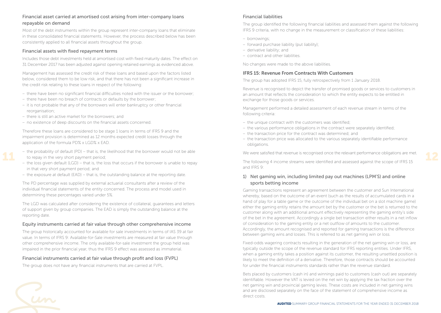### Financial asset carried at amortised cost arising from inter-company loans repayable on demand

Most of the debt instruments within the group represent inter-company loans that eliminate in these consolidated financial statements. However, the process described below has been consistently applied to all financial assets throughout the group.

### Financial assets with fixed repayment terms

Includes those debt investments held at amortised cost with fixed maturity dates. The effect on 31 December 2017 has been adjusted against opening retained earnings as evidenced above.

Management has assessed the credit risk of these loans and based upon the factors listed below, considered them to be low risk, and that there has not been a significant increase in the credit risk relating to these loans in respect of the following:

- there have been no significant financial difficulties noted with the issuer or the borrower;
- there have been no breach of contracts or defaults by the borrower;
- it is not probable that any of the borrowers will enter bankruptcy or other financial reorganisation;
- there is still an active market for the borrowers; and
- no existence of deep discounts on the financial assets concerned.

Therefore these loans are considered to be stage 1 loans in terms of IFRS 9 and the impairment provision is determined as 12 months expected credit losses through the application of the formula PD% x LGD% x EAD.

- the probability of default (PD) that is, the likelihood that the borrower would not be able to repay in the very short payment period;
- the loss given default (LGD) that is, the loss that occurs if the borrower is unable to repay in that very short payment period; and
- the exposure at default (EAD) that is, the outstanding balance at the reporting date.

The PD percentage was supplied by external actuarial consultants after a review of the individual financial statements of the entity concerned. The process and model used in determining these percentages varied under 5%.

The LGD was calculated after considering the existence of collateral, guarantees and letters of support given by group companies. The EAD is simply the outstanding balance at the reporting date.

### Equity instruments carried at fair value through other comprehensive income

The group historically accounted for available for sale investments in terms of IAS 39 at fair value. In terms of IFRS 9: Available-for-Sale investments are measured at fair value through other comprehensive income. The only available-for-sale investment the group held was impaired in the prior financial year, thus the IFRS 9 effect was assessed as immaterial.

### Financial instruments carried at fair value through profit and loss (FVPL)

The group does not have any financial instruments that are carried at FVPL.

### Financial liabilities

The group identified the following financial liabilities and assessed them against the following IFRS 9 criteria, with no change in the measurement or classification of these liabilities:

- borrowings;
- forward purchase liability (put liability);
- derivative liability; and
- contract and other liabilities.

No changes were made to the above liabilities.

### IFRS 15: Revenue From Contracts With Customers

The group has adopted IFRS 15, fully retrospectively from 1 January 2018.

Revenue is recognised to depict the transfer of promised goods or services to customers in an amount that reflects the consideration to which the entity expects to be entitled in exchange for those goods or services.

Management performed a detailed assessment of each revenue stream in terms of the following criteria:

- the unique contract with the customers was identified;
- the various performance obligations in the contract were separately identified;
- the transaction price for the contract was determined; and
- the transaction price was allocated to the various separately identifiable performance obligations.

We were satisfied that revenue is recognised once the relevant performance obligations are met.

The following 4 income streams were identified and assessed against the scope of IFRS 15 and IFRS 9:

### 1) Net gaming win, including limited pay out machines (LPM'S) and online sports betting income

Gaming transactions represent an agreement between the customer and Sun International whereby, based on the outcome of an event (such as the results of accumulated cards in a hand of play for a table game or the outcome of the individual bet on a slot machine game) either the gaming entity retains the amount bet by the customer or the bet is returned to the customer along with an additional amount effectively representing the gaming entity's side of the bet in the agreement. Accordingly a single bet transaction either results in a net inflow of consideration to the gaming entity or a net outflow of amounts to the customer. Accordingly, the amount recognised and reported for gaming transactions is the difference between gaming wins and losses. This is referred to as net gaming win or loss.

Fixed-odds wagering contracts resulting in the generation of the net gaming win or loss, are typically outside the scope of the revenue standard for IFRS reporting entities. Under IFRS, when a gaming entity takes a position against its customer, the resulting unsettled position is likely to meet the definition of a derivative. Therefore, those contracts should be accounted for under the financial instruments standards rather than the revenue standard.

Bets placed by customers (cash in) and winnings paid to customers (cash out) are separately identifiable. However the VAT is levied on the net win by applying the tax fraction over the net gaming win and provincial gaming levies. These costs are included in net gaming wins and are disclosed separately on the face of the statement of comprehensive income as direct costs.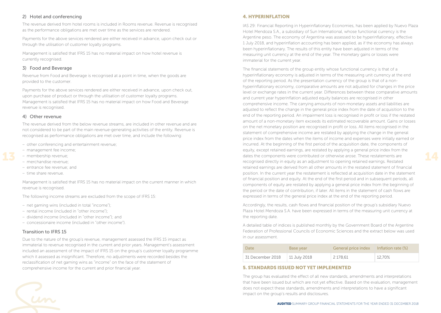### 2) Hotel and conferencing

The revenue derived from hotel rooms is included in Rooms revenue. Revenue is recognised as the performance obligations are met over time as the services are rendered.

Payments for the above services rendered are either received in advance, upon check out or through the utilisation of customer loyalty programs.

Management is satisfied that IFRS 15 has no material impact on how hotel revenue is currently recognised.

### 3) Food and Beverage

Revenue from Food and Beverage is recognised at a point in time, when the goods are provided to the customer.

Payments for the above services rendered are either received in advance, upon check out, upon purchase of product or through the utilisation of customer loyalty programs. Management is satisfied that IFRS 15 has no material impact on how Food and Beverage revenue is recognised.

### 4) Other revenue

The revenue derived from the below revenue streams, are included in other revenue and are not considered to be part of the main revenue-generating activities of the entity. Revenue is recognised as performance obligations are met over time, and include the following:

- other conferencing and entertainment revenue;
- management fee income;
- membership revenue;
- merchandise revenue;
- entrance fee revenue; and
- time share revenue.

Management is satisfied that IFRS 15 has no material impact on the current manner in which revenue is recognised.

The following income streams are excluded from the scope of IFRS 15:

- net gaming wins (included in total "income");
- rental income (included in "other income");
- dividend income (included in "other income"); and
- concessionaire income (included in "other income").

### Transition to IFRS 15

Due to the nature of the group's revenue, management assessed the IFRS 15 impact as immaterial to revenue recognised in the current and prior years. Management's assessment included an assessment of the impact of IFRS 15 on the group's customer loyalty programme which it assessed as insignificant. Therefore, no adjustments were recorded besides the reclassification of net gaming wins as "income" on the face of the statement of comprehensive income for the current and prior financial year.

### 4. HYPERINFLATION

IAS 29: Financial Reporting in Hyperinflationary Economies, has been applied by Nuevo Plaza Hotel Mendoza S.A., a subsidiary of Sun International, whose functional currency is the Argentine peso. The economy of Argentina was assessed to be hyperinflationary, effective 1 July 2018, and hyperinflation accounting has been applied, as if the economy has always been hyperinflationary. The results of this entity have been adjusted in terms of the measuring unit currency at the end of the year. The monetary gains or losses were immaterial for the current year.

The financial statements of the group entity whose functional currency is that of a hyperinflationary economy is adjusted in terms of the measuring unit currency at the end of the reporting period. As the presentation currency of the group is that of a nonhyperinflationary economy, comparative amounts are not adjusted for changes in the price level or exchange rates in the current year. Differences between these comparative amounts and current year hyperinflation adjusted equity balances are recognised in other comprehensive income. The carrying amounts of non-monetary assets and liabilities are adjusted to reflect the change in the general price index from the date of acquisition to the end of the reporting period. An impairment loss is recognised in profit or loss if the restated amount of a non-monetary item exceeds its estimated recoverable amount. Gains or losses on the net monetary position are recognised in profit or loss. All items recognised in the statement of comprehensive income are restated by applying the change in the general price index from the dates when the items of income and expenses were initially earned or incurred. At the beginning of the first period of the acquisition date, the components of equity, except retained earnings, are restated by applying a general price index from the dates the components were contributed or otherwise arose. These restatements are recognised directly in equity as an adjustment to opening retained earnings. Restated retained earnings are derived from all other amounts in the restated statement of financial position. In the current year the restatement is reflected at acquisition date in the statement of financial position and equity. At the end of the first period and in subsequent periods, all components of equity are restated by applying a general price index from the beginning of the period or the date of contribution, if later. All items in the statement of cash flows are expressed in terms of the general price index at the end of the reporting period.

Accordingly, the results, cash flows and financial position of the group's subsidiary Nuevo Plaza Hotel Mendoza S.A. have been expressed in terms of the measuring unit currency at the reporting date.

A detailed table of indices is published monthly by the Government Board of the Argentine Federation of Professional Councils of Economic Sciences and the extract below was used in our assessment.

| Date             | <b>Base year</b> | General price index | Inflation rate (%) |
|------------------|------------------|---------------------|--------------------|
| 31 December 2018 | 11 July 2018     | 2 178.61            | 12,70%             |

### 5. STANDARDS ISSUED NOT YET IMPLEMENTED

The group has evaluated the effect of all new standards, amendments and interpretations that have been issued but which are not yet effective. Based on the evaluation, management does not expect these standards, amendments and interpretations to have a significant impact on the group's results and disclosures.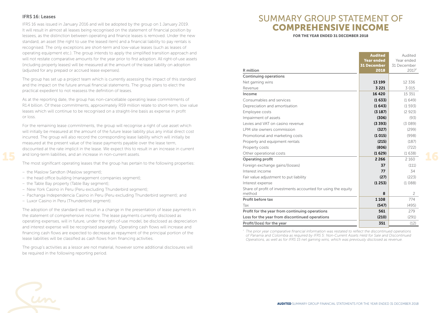### IFRS 16: Leases

IFRS 16 was issued in January 2016 and will be adopted by the group on 1 January 2019. It will result in almost all leases being recognised on the statement of financial position by lessees, as the distinction between operating and finance leases is removed. Under the new standard, an asset (the right to use the leased item) and a financial liability to pay rentals is recognised. The only exceptions are short-term and low-value leases (such as leases of operating equipment etc.). The group intends to apply the simplified transition approach and will not restate comparative amounts for the year prior to first adoption. All right-of-use assets (including property leases) will be measured at the amount of the lease liability on adoption (adjusted for any prepaid or accrued lease expenses).

The group has set up a project team which is currently assessing the impact of this standard and the impact on the future annual financial statements. The group plans to elect the practical expedient to not reassess the definition of leases.

As at the reporting date, the group has non-cancellable operating lease commitments of R1.4 billion. Of these commitments, approximately R59 million relate to short-term, low value leases which will continue to be recognised on a straight-line basis as expense in profit or loss.

For the remaining lease commitments, the group will recognise a right of use asset which will initially be measured at the amount of the future lease liability plus any initial direct cost incurred. The group will also record the corresponding lease liability which will initially be measured at the present value of the lease payments payable over the lease term, discounted at the rate implicit in the lease. We expect this to result in an increase in current and long-term liabilities, and an increase in non-current assets.

The most significant operating leases that the group has pertain to the following properties:

- the Maslow Sandton (Maslow segment);
- the head office building (management companies segment);
- the Table Bay property (Table Bay segment);
- New York Casino in Peru (Peru excluding Thunderbird segment);
- Pachanga Independencia Casino in Peru (Peru excluding Thunderbird segment); and
- Luxor Casino in Peru (Thunderbird segment).

The adoption of the standard will result in a change in the presentation of lease payments in the statement of comprehensive income. The lease payments currently disclosed as operating expenses, will in future, under the right-of-use model, be disclosed as depreciation and interest expense will be recognised separately. Operating cash flows will increase and financing cash flows are expected to decrease as repayment of the principal portion of the lease liabilities will be classified as cash flows from financing activities.

The group's activities as a lessor are not material, however some additional disclosures will be required in the following reporting period.

### SUMMARY GROUP STATEMENT OF COMPREHENSIVE INCOME

FOR THE YEAR ENDED 31 DECEMBER 2018

|                                                                         | <b>Audited</b>     | Audited        |
|-------------------------------------------------------------------------|--------------------|----------------|
|                                                                         | <b>Year ended</b>  | Year ended     |
|                                                                         | <b>31 December</b> | 31 December    |
| R million                                                               | 2018               | 2017*          |
| <b>Continuing operations</b>                                            |                    |                |
| Net gaming wins                                                         | 13 199             | 12 3 3 6       |
| Revenue                                                                 | 3 2 2 1            | 3 0 1 5        |
| Income                                                                  | 16 4 20            | 15 3 5 1       |
| Consumables and services                                                | (1633)             | (1649)         |
| Depreciation and amortisation                                           | (1643)             | (1593)         |
| Employee costs                                                          | (3187)             | (2923)         |
| Impairment of assets                                                    | (306)              | (93)           |
| Levies and VAT on casino revenue                                        | (3, 393)           | (3089)         |
| LPM site owners commission                                              | (327)              | (299)          |
| Promotional and marketing costs                                         | (1015)             | (998)          |
| Property and equipment rentals                                          | (215)              | (187)          |
| Property costs                                                          | (806)              | (722)          |
| Other operational costs                                                 | (1629)             | (1638)         |
| Operating profit                                                        | 2 2 6 6            | 2 1 6 0        |
| Foreign exchange gains/(losses)                                         | 37                 | (111)          |
| Interest income                                                         | 77                 | 34             |
| Fair value adjustment to put liability                                  | (27)               | (223)          |
| Interest expense                                                        | (1253)             | (1088)         |
| Share of profit of investments accounted for using the equity<br>method | 8                  | $\overline{c}$ |
| Profit before tax                                                       | 1 1 0 8            | 774            |
| Tax                                                                     | (547)              | (495)          |
| Profit for the year from continuing operations                          | 561                | 279            |
| Loss for the year from discontinued operations                          | (210)              | (291)          |
| Profit/(loss) for the year                                              | 351                | (12)           |

 *The prior year comparative financial information was restated to reflect the discontinued operations of Panama and Colombia as required by IFRS 5: Non-Current Assets Held for Sale and Discontinued Operations, as well as for IFRS 15 net gaming wins, which was previously disclosed as revenue.*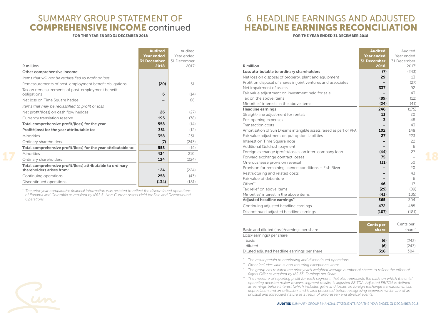### SUMMARY GROUP STATEMENT OF COMPREHENSIVE INCOME continued

### FOR THE YEAR ENDED 31 DECEMBER 2018

### 6. HEADLINE EARNINGS AND ADJUSTED HEADLINE EARNINGS RECONCILIATION

#### FOR THE YEAR ENDED 31 DECEMBER 2018

|                                                                                         | <b>Audited</b><br><b>Year ended</b> | Audited<br>Year ended |
|-----------------------------------------------------------------------------------------|-------------------------------------|-----------------------|
|                                                                                         | <b>31 December</b>                  | 31 December           |
| R million                                                                               | 2018                                | 2017*                 |
| Other comprehensive income:                                                             |                                     |                       |
| Items that will not be reclassified to profit or loss                                   |                                     |                       |
| Remeasurements of post-employment benefit obligations                                   | (20)                                | 51                    |
| Tax on remeasurements of post-employment benefit<br>obligations                         | 6                                   | (14)                  |
| Net loss on Time Square hedge                                                           |                                     | 66                    |
| Items that may be reclassified to profit or loss                                        |                                     |                       |
| Net profit/(loss) on cash flow hedges                                                   | 26                                  | (27)                  |
|                                                                                         |                                     |                       |
| Currency translation reserve                                                            | 195                                 | (78)                  |
| Total comprehensive profit/(loss) for the year                                          | 558                                 | (14)                  |
| Profit/(loss) for the year attributable to:                                             | 351                                 | (12)                  |
| Minorities                                                                              | 358                                 | 231                   |
| Ordinary shareholders                                                                   | (7)                                 | (243)                 |
| Total comprehensive profit/(loss) for the year attributable to:                         | 558                                 | (14)                  |
| Minorities                                                                              | 434                                 | 210                   |
| Ordinary shareholders                                                                   | 124                                 | (224)                 |
| Total comprehensive profit/(loss) attributable to ordinary<br>shareholders arises from: | 124                                 | (224)                 |
| Continuing operations                                                                   | 258                                 | (43)                  |
| Discontinued operations                                                                 | (134)                               | (181)                 |

*\* The prior year comparative financial information was restated to reflect the discontinued operations of Panama and Colombia as required by IFRS 5: Non-Current Assets Held for Sale and Discontinued Operations.*

| R million<br>Loss attributable to ordinary shareholders<br>Net loss on disposal of property, plant and equipment<br>Profit on disposal of shares in joint ventures and associates | <b>Year ended</b><br><b>31 December</b><br>2018<br>(7)<br>29 | Year ended<br>31 December<br>2017*<br>(243) |
|-----------------------------------------------------------------------------------------------------------------------------------------------------------------------------------|--------------------------------------------------------------|---------------------------------------------|
|                                                                                                                                                                                   |                                                              |                                             |
|                                                                                                                                                                                   |                                                              |                                             |
|                                                                                                                                                                                   |                                                              |                                             |
|                                                                                                                                                                                   |                                                              |                                             |
|                                                                                                                                                                                   |                                                              | 13                                          |
|                                                                                                                                                                                   |                                                              | (27)                                        |
| Net impairment of assets                                                                                                                                                          | 337                                                          | 92                                          |
| Fair value adjustment on investment held for sale                                                                                                                                 |                                                              | 43                                          |
| Tax on the above items                                                                                                                                                            | (89)                                                         | (12)                                        |
| Minorities' interests in the above items                                                                                                                                          | (24)                                                         | (41)                                        |
| <b>Headline earnings</b>                                                                                                                                                          | 246                                                          | (175)                                       |
| Straight-line adjustment for rentals                                                                                                                                              | 13                                                           | 20                                          |
| Pre-opening expenses                                                                                                                                                              | 3                                                            | 48                                          |
| Transaction costs                                                                                                                                                                 |                                                              | 43                                          |
| Amortisation of Sun Dreams intangible assets raised as part of PPA                                                                                                                | 102                                                          | 148                                         |
| Fair value adjustment on put option liabilities                                                                                                                                   | 27                                                           | 223                                         |
| Interest on Time Square note                                                                                                                                                      |                                                              | 22                                          |
| Additional Goldrush payment                                                                                                                                                       |                                                              | 6                                           |
| Foreign exchange (profit)/losses on inter-company loan                                                                                                                            | (44)                                                         | 27                                          |
| Forward exchange contract losses                                                                                                                                                  | 75                                                           |                                             |
| Onerous lease provision reversal                                                                                                                                                  | (31)                                                         | 50                                          |
| Provision for remaining licence conditions - Fish River                                                                                                                           |                                                              | 20                                          |
| Restructuring and related costs                                                                                                                                                   |                                                              | 43                                          |
| Fair value of debenture                                                                                                                                                           |                                                              | 6                                           |
| $Other**$                                                                                                                                                                         | 46                                                           | 17                                          |
| Tax relief on above items                                                                                                                                                         | (29)                                                         | (89)                                        |
| Minorities' interest in the above items                                                                                                                                           | (43)                                                         | (105)                                       |
| Adjusted headline earnings <sup>^^</sup>                                                                                                                                          | 365                                                          | 304                                         |
| Continuing adjusted headline earnings                                                                                                                                             | 472                                                          | 485                                         |
| Discontinued adjusted headline earnings                                                                                                                                           | (107)                                                        | (181)                                       |

|                                              | <b>Cents per</b> | Cents per          |
|----------------------------------------------|------------------|--------------------|
| Basic and diluted (loss)/earnings per share  | share            | share <sup>^</sup> |
| Loss/(earnings) per share                    |                  |                    |
| basic                                        | (6)              | (243)              |
| diluted                                      | (6)              | (243)              |
| Diluted adjusted headline earnings per share | 316              | 304                |

*\* The result pertain to continuing and discontinued operations.*

*\*\* Other includes various non-recurring exceptional items.*

*^ The group has restated the prior year's weighted average number of shares to reflect the effect of Rights Offer as required by IAS 33: Earnings per Share.*

*^^ The measure of reporting profit for each segment, that also represents the basis on which the chief operating decision maker reviews segment results, is adjusted EBITDA. Adjusted EBITDA is defined as earnings before interest (which includes gains and losses on foreign exchange transactions), tax, depreciation and amortisation, and is also presented before recognising expenses which are of an unusual and infrequent nature as a result of unforeseen and atypical events.*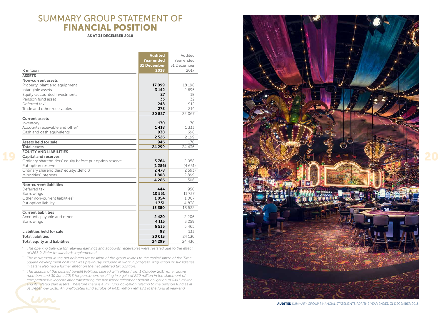## SUMMARY GROUP STATEMENT OF FINANCIAL POSITION

AS AT 31 DE CEM BER 2018

|                                                                         | <b>Audited</b>     | Audited     |
|-------------------------------------------------------------------------|--------------------|-------------|
|                                                                         | <b>Year ended</b>  | Year ended  |
|                                                                         | <b>31 December</b> | 31 December |
| R million                                                               | 2018               | 2017        |
| <b>ASSETS</b>                                                           |                    |             |
| Non-current assets                                                      |                    |             |
| Property, plant and equipment                                           | 17099              | 18 19 6     |
| Intangible assets                                                       | 3 1 4 2            | 2695        |
| Equity-accounted investments                                            | 27                 | 18          |
| Pension fund asset                                                      | 33                 | 32          |
| Deferred tax <sup>*</sup>                                               | 248                | 912         |
| Trade and other receivables                                             | 278                | 214         |
|                                                                         | 20827              | 22 067      |
| <b>Current assets</b>                                                   |                    |             |
| Inventory                                                               | 170<br>1418        | 170<br>1333 |
| Accounts receivable and other <sup>^</sup><br>Cash and cash equivalents | 938                | 696         |
|                                                                         | 2 5 2 6            | 2 1 9 9     |
| Assets held for sale                                                    | 946                | 170         |
| <b>Total assets</b>                                                     | 24 299             | 24 4 36     |
| <b>EQUITY AND LIABILITIES</b>                                           |                    |             |
| <b>Capital and reserves</b>                                             |                    |             |
| Ordinary shareholders' equity before put option reserve                 | 3764               | 2058        |
| Put option reserve                                                      | (1286)             | (4651)      |
| Ordinary shareholders' equity/(deficit)                                 | 2478               | (2593)      |
| Minorities' interests                                                   | 1808               | 2899        |
|                                                                         | 4 2 8 6            | 306         |
| Non-current liabilities                                                 |                    |             |
| Deferred tax <sup>*</sup>                                               | 444                | 950         |
| <b>Borrowings</b>                                                       | 10 551             | 11 737      |
| Other non-current liabilities**                                         | 1054               | 1007        |
| Put option liability                                                    | 1331               | 4838        |
| <b>Current liabilities</b>                                              | 13 380             | 18 532      |
|                                                                         | 2420               | 2 2 0 6     |
| Accounts payable and other<br><b>Borrowings</b>                         | 4 1 1 5            | 3 2 5 9     |
|                                                                         | 6535               | 5465        |
| Liabilities held for sale                                               | 98                 | 133         |
| <b>Total liabilities</b>                                                | 20 013             | 24 130      |
| <b>Total equity and liabilities</b>                                     | 24 299             | 24 436      |
|                                                                         |                    |             |

*^ The opening balance for retained earnings and accounts receivables were restated due to the effect of IFRS 9. Refer to standards implemented.*

*\* The movement in the net deferred tax position of the group relates to the capitalisation of the Time Square development cost that was previously included in work in progress. Acquisition of subsidiaries in Latam also had a further effect on the net deferred tax position.*

*\*\* The accrual of the defined benefit liabilities ceased with effect from 1 October 2017 for all active members and 30 June 2018 for pensioners resulting in a gain of R29 million in the statement of comprehensive income after transferring the pensioner retirement benefit obligation of R415 million*  and its related plan assets. Therefore there is a Rnil fund obligation relating to the pension fund as at *31 December 2018. An unallocated fund surplus of R411 million remains in the fund at year-end.* 

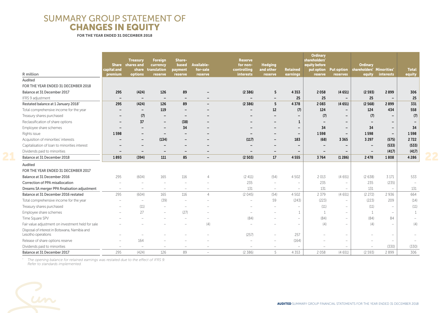### SUMMARY GROUP STATEMENT OF CHANGES IN EQUITY

FOR THE YEAR ENDED 31 DECEMBER 2018

|                                                                     | capital and              | <b>Treasury</b><br>Share shares and<br>share | Foreign<br>currency<br>translation | Share-<br>based<br>payment | Available-<br>for-sale | <b>Reserve</b><br>for non-<br>controlling | <b>Hedging</b><br>and other | <b>Retained</b>                 | <b>Ordinary</b><br>shareholders'<br>equity before<br>put option | <b>Put option</b>        | <b>Ordinary</b><br>shareholders' Minorities' |                              | <b>Total</b> |
|---------------------------------------------------------------------|--------------------------|----------------------------------------------|------------------------------------|----------------------------|------------------------|-------------------------------------------|-----------------------------|---------------------------------|-----------------------------------------------------------------|--------------------------|----------------------------------------------|------------------------------|--------------|
| R million                                                           | premium                  | options                                      | <b>reserve</b>                     | reserve                    | reserve                | <b>interests</b>                          | reserve                     | earnings                        | reserve                                                         | reserves                 | equity                                       | <b>interests</b>             | equity       |
| Audited                                                             |                          |                                              |                                    |                            |                        |                                           |                             |                                 |                                                                 |                          |                                              |                              |              |
| FOR THE YEAR ENDED 31 DECEMBER 2018                                 |                          |                                              |                                    |                            |                        |                                           |                             |                                 |                                                                 |                          |                                              |                              |              |
| Balance at 31 December 2017                                         | 295                      | (424)                                        | 126                                | 89                         |                        | (2,386)                                   | 5                           | 4353                            | 2058                                                            | (4651)                   | (2593)                                       | 2899                         | 306          |
| IFRS 9 adjustment                                                   | $\overline{\phantom{a}}$ | $\qquad \qquad$                              | $\overline{\phantom{0}}$           |                            |                        |                                           | $\overline{\phantom{0}}$    | 25                              | 25                                                              | $\overline{\phantom{a}}$ | 25                                           |                              | 25           |
| Restated balance at 1 January 2018 <sup>^</sup>                     | 295                      | (424)                                        | 126                                | 89                         |                        | (2,386)                                   | 5                           | 4378                            | 2083                                                            | (4651)                   | (2568)                                       | 2899                         | 331          |
| Total comprehensive income for the year                             |                          | $\qquad \qquad -$                            | 119                                |                            |                        |                                           | 12                          | (7)                             | 124                                                             | $\overline{\phantom{a}}$ | 124                                          | 434                          | 558          |
| Treasury shares purchased                                           |                          | (7)                                          | $\qquad \qquad -$                  |                            |                        |                                           |                             | $\overline{\phantom{a}}$        | (7)                                                             | $\overline{\phantom{a}}$ | (7)                                          |                              | (7)          |
| Reclassification of share options                                   |                          | 37                                           | $\qquad \qquad -$                  | (38)                       |                        |                                           |                             | $\mathbf{1}$                    |                                                                 | $\overline{\phantom{a}}$ |                                              | $\qquad \qquad \blacksquare$ |              |
| Employee share schemes                                              |                          |                                              |                                    | 34                         |                        |                                           |                             | $\overline{\phantom{a}}$        | 34                                                              | $\overline{\phantom{a}}$ | 34                                           | $\overline{\phantom{a}}$     | 34           |
| Rights issue                                                        | 1598                     |                                              | $\overline{\phantom{0}}$           |                            |                        |                                           |                             | $\overline{\phantom{a}}$        | 1598                                                            | $\overline{\phantom{m}}$ | 1598                                         | $\overline{\phantom{a}}$     | 1598         |
| Acquisition of minorities' interests                                |                          | $\qquad \qquad$                              | (134)                              |                            |                        | (117)                                     |                             | 183                             | (68)                                                            | 3365                     | 3 2 9 7                                      | (575)                        | 2722         |
| Capitalisation of loan to minorities interest                       |                          |                                              | -                                  |                            |                        |                                           |                             | $\overline{\phantom{a}}$        | $\overline{\phantom{0}}$                                        | $\overline{\phantom{a}}$ |                                              | (533)                        | (533)        |
| Dividends paid to minorities                                        |                          |                                              | $\qquad \qquad$                    |                            |                        |                                           | $\overline{\phantom{0}}$    | $\overline{\phantom{a}}$        | $\overline{\phantom{a}}$                                        | -                        | $\overline{\phantom{a}}$                     | (417)                        | (417)        |
| Balance at 31 December 2018                                         | 1893                     | (394)                                        | 111                                | 85                         |                        | (2503)                                    | 17                          | 4555                            | 3764                                                            | (1286)                   | 2478                                         | 1808                         | 4 2 8 6      |
| Audited                                                             |                          |                                              |                                    |                            |                        |                                           |                             |                                 |                                                                 |                          |                                              |                              |              |
| FOR THE YEAR ENDED 31 DECEMBER 2017                                 |                          |                                              |                                    |                            |                        |                                           |                             |                                 |                                                                 |                          |                                              |                              |              |
| Balance at 31 December 2016                                         | 295                      | (604)                                        | 165                                | 116                        | $\overline{4}$         | (2411)                                    | (54)                        | 4 5 0 2                         | 2 0 1 3                                                         | (4651)                   | (2638)                                       | 3 1 7 1                      | 533          |
| Correction of PPA misallocation                                     |                          |                                              |                                    |                            |                        | 235                                       | $\overline{\phantom{a}}$    | $\overline{\phantom{a}}$        | 235                                                             | $\overline{\phantom{0}}$ | 235                                          | (235)                        |              |
| Dreams SA merger PPA finalisation adjustment                        | $\overline{\phantom{a}}$ | $\overline{\phantom{0}}$                     | $\overline{\phantom{0}}$           |                            |                        | 131                                       | $\overline{\phantom{a}}$    | $\overline{\phantom{a}}$        | 131                                                             | $\overline{\phantom{a}}$ | 131                                          | $\overline{\phantom{a}}$     | 131          |
| Balance at 31 December 2016 restated                                | 295                      | (604)                                        | 165                                | 116                        | $\Delta$               | (2045)                                    | (54)                        | 4 5 0 2                         | 2 3 7 9                                                         | (4651)                   | (2 272)                                      | 2 9 3 6                      | 664          |
| Total comprehensive income for the year                             |                          | $\overline{\phantom{0}}$                     | (39)                               |                            |                        |                                           | 59                          | (243)                           | (223)                                                           |                          | (223)                                        | 209                          | (14)         |
| Treasury shares purchased                                           |                          | (11)                                         |                                    |                            |                        |                                           |                             |                                 | (11)                                                            |                          | (11)                                         |                              | (11)         |
| Employee share schemes                                              |                          | 27                                           |                                    | (27)                       |                        |                                           |                             | 1                               |                                                                 |                          |                                              | $\overline{\phantom{a}}$     |              |
| Time Square SPV                                                     |                          |                                              |                                    |                            |                        | (84)                                      |                             | $\overline{\phantom{m}}$        | (84)                                                            |                          | (84)                                         | 84                           |              |
| Fair value adjustment on investment held for sale                   |                          |                                              |                                    |                            | (4)                    |                                           |                             | $\overline{\phantom{0}}$        | (4)                                                             |                          | (4)                                          | $\overline{\phantom{0}}$     | (4)          |
| Disposal of interest in Botswana, Namibia and<br>Lesotho operations |                          |                                              |                                    |                            |                        | (257)                                     |                             | 257                             |                                                                 |                          |                                              | $\overline{\phantom{a}}$     |              |
| Release of share options reserve                                    |                          | 164                                          |                                    |                            |                        |                                           |                             | (164)                           |                                                                 |                          |                                              | $\overline{\phantom{0}}$     |              |
| Dividends paid to minorities                                        | $\overline{\phantom{a}}$ |                                              |                                    |                            |                        | $\overline{\phantom{0}}$                  |                             | $\hspace{0.1mm}-\hspace{0.1mm}$ |                                                                 |                          |                                              | (330)                        | (330)        |
| Balance at 31 December 2017                                         | 295                      | (424)                                        | 126                                | 89                         |                        | (2, 386)                                  | 5                           | 4 3 5 3                         | 2058                                                            | (4651)                   | (2593)                                       | 2899                         | 306          |

*^ The opening balance for retained earnings was restated due to the effect of IFRS 9. Refer to standards implemented.*

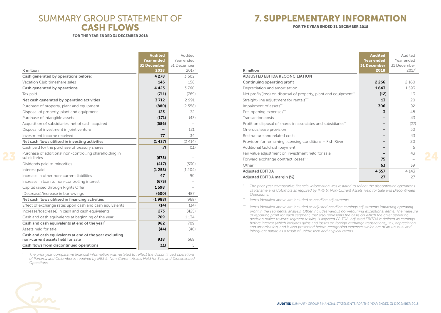### SUMMARY GROUP STATEMENT OF CASH FLOWS

FOR THE YEAR ENDED 31 DECEMBER 2018

|                                                                                            | <b>Audited</b>     | Audited     |
|--------------------------------------------------------------------------------------------|--------------------|-------------|
|                                                                                            | <b>Year ended</b>  | Year ended  |
|                                                                                            | <b>31 December</b> | 31 December |
| R million                                                                                  | 2018               | $2017*$     |
| Cash generated by operations before:                                                       | 4 2 7 8            | 3602        |
| Vacation Club timeshare sales                                                              | 145                | 158         |
| Cash generated by operations                                                               | 4423               | 3760        |
| Tax paid                                                                                   | (711)              | (769)       |
| Net cash generated by operating activities                                                 | 3712               | 2991        |
| Purchase of property, plant and equipment                                                  | (880)              | (2558)      |
| Disposal of property, plant and equipment                                                  | 123                | 32          |
| Purchase of intangible assets                                                              | (171)              | (43)        |
| Acquisition of subsidiaries, net of cash acquired                                          | (586)              |             |
| Disposal of investment in joint venture                                                    |                    | 121         |
| Investment income received                                                                 | 77                 | 34          |
| Net cash flows utilised in investing activities                                            | (1437)             | (2414)      |
| Cash paid for the purchase of treasury shares                                              | (7)                | (11)        |
| Purchase of additional non-controlling shareholding in<br>subsidiaries                     | (678)              |             |
| Dividends paid to minorities                                                               | (417)              | (330)       |
| Interest paid                                                                              | (1258)             | (1204)      |
| Increase in other non-current liabilities                                                  | 47                 | 90          |
| Increase in loan to non-controlling interest                                               | (673)              |             |
| Capital raised through Rights Offer                                                        | 1598               |             |
| (Decrease)/increase in borrowings                                                          | (600)              | 487         |
| Net cash flows utilised in financing activities                                            | (1988)             | (968)       |
| Effect of exchange rates upon cash and cash equivalents                                    | (14)               | (34)        |
| Increase/(decrease) in cash and cash equivalents                                           | 273                | (425)       |
| Cash and cash equivalents at beginning of the year                                         | 709                | 1 1 3 4     |
| Cash and cash equivalents at end of the year <sup>*</sup>                                  | 982                | 709         |
| Assets held for sale                                                                       | (44)               | (40)        |
| Cash and cash equivalents at end of the year excluding<br>non-current assets held for sale | 938                | 669         |
| Cash flows from discontinued operations                                                    | (11)               | 5           |
|                                                                                            |                    |             |

*\* The prior year comparative financial information was restated to reflect the discontinued operations of Panama and Colombia as required by IFRS 5: Non-Current Assets Held for Sale and Discontinued Operations.*

### 7. SUPPLEMENTARY INFORMATION

FOR THE YEAR ENDED 31 DECEMBER 2018

|                                                                  | <b>Audited</b>     | Audited     |
|------------------------------------------------------------------|--------------------|-------------|
|                                                                  | <b>Year ended</b>  | Year ended  |
|                                                                  | <b>31 December</b> | 31 December |
| R million                                                        | 2018               | 2017*       |
| <b>ADJUSTED EBITDA RECONCILIATION</b>                            |                    |             |
| Continuing operating profit                                      | 2 2 6 6            | 2 1 6 0     |
| Depreciation and amortisation                                    | 1643               | 1593        |
| Net profit/(loss) on disposal of property, plant and equipment** | (12)               | 13          |
| Straight-line adjustment for rentals***                          | 13                 | 20          |
| Impairment of assets**                                           | 306                | 92          |
| Pre-opening expenses***                                          | 3                  | 48          |
| Transaction costs                                                |                    | 43          |
| Profit on disposal of shares in associates and subsidiaries**    |                    | (27)        |
| Onerous lease provision                                          |                    | 50          |
| Restructure and related costs                                    |                    | 43          |
| Provision for remaining licensing conditions - Fish River        |                    | 20          |
| Additional Goldrush payment                                      |                    | 6           |
| Fair value adjustment on investment held for sale                |                    | 43          |
| Forward exchange contract losses***                              | 75                 |             |
| Other***                                                         | 63                 | 39          |
| <b>Adjusted EBITDA</b>                                           | 4357               | 4 1 4 3     |
| Adjusted EBITDA margin (%)                                       | 27                 | 27          |

*\* The prior year comparative financial information was restated to reflect the discontinued operations of Panama and Colombia as required by IFRS 5: Non-Current Assets Held for Sale and Discontinued Operations.*

*\*\* Items identified above are included as headline adjustments.*

*\*\*\* Items identified above are included as adjusted headline earnings adjustments impacting operating profit in the segmental analysis. Other includes various non-recurring exceptional items. The measure of reporting profit for each segment, that also represents the basis on which the chief operating decision maker reviews segment results, is adjusted EBITDA. Adjusted EBITDA is defined as earnings before interest (which includes gains and losses on foreign exchange transactions), tax, depreciation and amortisation, and is also presented before recognising expenses which are of an unusual and infrequent nature as a result of unforeseen and atypical events.*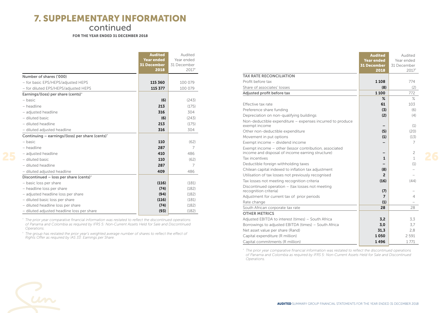### 7. SUPPLEMENTARY INFORMATION

continued

FOR THE YEAR ENDED 31 DECEMBER 2018

|                                                             | <b>Audited</b><br><b>Year ended</b><br><b>31 December</b> | Audited<br>Year ended<br>31 December |
|-------------------------------------------------------------|-----------------------------------------------------------|--------------------------------------|
|                                                             | 2018                                                      | 2017*                                |
| Number of shares ('000)                                     |                                                           |                                      |
| - for basic EPS/HEPS/adjusted HEPS                          | 115 360                                                   | 100 079                              |
| - for diluted EPS/HEPS/adjusted HEPS                        | 115 377                                                   | 100 079                              |
| Earnings/(loss) per share (cents) <sup>^</sup>              |                                                           |                                      |
| - basic                                                     | (6)                                                       | (243)                                |
| - headline                                                  | 213                                                       | (175)                                |
| - adjusted headline                                         | 316                                                       | 304                                  |
| - diluted basic                                             | (6)                                                       | (243)                                |
| - diluted headline                                          | 213                                                       | (175)                                |
| - diluted adjusted headline                                 | 316                                                       | 304                                  |
| Continuing – earnings/(loss) per share (cents) <sup>^</sup> |                                                           |                                      |
| - basic                                                     | 110                                                       | (62)                                 |
| - headline                                                  | 287                                                       | 7                                    |
| - adjusted headline                                         | 410                                                       | 486                                  |
| - diluted basic                                             | 110                                                       | (62)                                 |
| - diluted headline                                          | 287                                                       | $\overline{7}$                       |
| - diluted adjusted headline                                 | 409                                                       | 486                                  |
| Discontinued - loss per share (cents) <sup>^</sup>          |                                                           |                                      |
| - basic loss per share                                      | (116)                                                     | (181)                                |
| - headline loss per share                                   | (74)                                                      | (182)                                |
| - adjusted headline loss per share                          | (94)                                                      | (182)                                |
| - diluted basic loss per share                              | (116)                                                     | (181)                                |
| - diluted headline loss per share                           | (74)                                                      | (182)                                |
| - diluted adjusted headline loss per share                  | (93)                                                      | (182)                                |

*\* The prior year comparative financial information was restated to reflect the discontinued operations of Panama and Colombia as required by IFRS 5: Non-Current Assets Held for Sale and Discontinued Operations.*

*^ The group has restated the prior year's weighted average number of shares to reflect the effect of Rights Offer as required by IAS 33: Earnings per Share.*

|                                                                                                            | Audited            | Audited        |
|------------------------------------------------------------------------------------------------------------|--------------------|----------------|
|                                                                                                            | <b>Year ended</b>  | Year ended     |
|                                                                                                            | <b>31 December</b> | 31 December    |
|                                                                                                            | 2018               | $2017*$        |
| <b>TAX RATE RECONCILIATION</b>                                                                             |                    |                |
| Profit before tax                                                                                          | 1 1 0 8            | 774            |
| Share of associates' losses                                                                                | (8)                | (2)            |
| Adjusted profit before tax                                                                                 | 1100               | 772            |
|                                                                                                            | ℀                  | $\%$           |
| Effective tax rate                                                                                         | 61                 | 103            |
| Preference share funding                                                                                   | (3)                | (6)            |
| Depreciation on non-qualifying buildings                                                                   | (2)                | (4)            |
| Non-deductible expenditure - expenses incurred to produce                                                  |                    |                |
| exempt income                                                                                              |                    | (1)            |
| Other non-deductible expenditure                                                                           | (5)                | (20)           |
| Movement in put options                                                                                    | (1)                | (13)           |
| Exempt income - dividend income                                                                            |                    | 7              |
| Exempt income - other (lessor contribution, associated<br>income and disposal of income earning structure) |                    | $\overline{c}$ |
| Tax incentives                                                                                             | 1                  | $\mathbf{1}$   |
| Deductible foreign withholding taxes                                                                       |                    | (1)            |
| Chilean capital indexed to inflation tax adjustment                                                        | (8)                |                |
| Utilisation of tax losses not previously recognised                                                        | $\overline{2}$     |                |
| Tax losses not meeting recognition criteria                                                                | (16)               | (44)           |
| Discontinued operation – (tax losses not meeting                                                           |                    |                |
| recognition criteria)                                                                                      | (7)                |                |
| Adjustment for current tax of prior periods                                                                | $\overline{7}$     | 4              |
| Rate change                                                                                                | (1)                |                |
| South African corporate tax rate                                                                           | 28                 | 28             |
| <b>OTHER METRICS</b>                                                                                       |                    |                |
| Adjusted EBITDA to interest (times) - South Africa                                                         | 3.2                | 3.3            |
| Borrowings to adjusted EBITDA (times) - South Africa                                                       | 3,0                | 3.7            |
| Net asset value per share (Rand)                                                                           | 31.3               | 2,8            |
| Capital expenditure (R million)                                                                            | 1050               | 2 5 9 1        |
| Capital commitments (R million)                                                                            | 1496               | 1771           |

Audited

*\* The prior year comparative financial information was restated to reflect the discontinued operations of Panama and Colombia as required by IFRS 5: Non-Current Assets Held for Sale and Discontinued Operations.*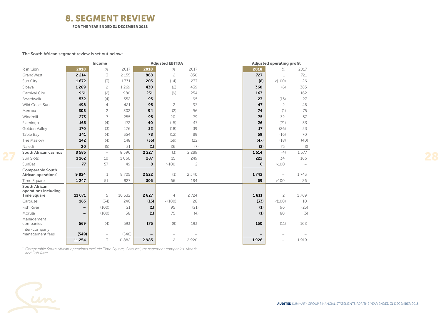### 8. SEGMENT REVIEW

FOR THE YEAR ENDED 31 DECEMBER 2018

The South African segment review is set out below:

|                                                            |                          | <b>Income</b>            |         |                          | <b>Adjusted EBITDA</b>   |                          |      | <b>Adjusted operating profit</b> |                          |
|------------------------------------------------------------|--------------------------|--------------------------|---------|--------------------------|--------------------------|--------------------------|------|----------------------------------|--------------------------|
| R million                                                  | 2018                     | $\%$                     | 2017    | 2018                     | $\%$                     | 2017                     | 2018 | ℅                                | 2017                     |
| GrandWest                                                  | 2 2 1 4                  | 3                        | 2 1 5 5 | 868                      | $\overline{c}$           | 850                      | 727  | $\mathbf{1}$                     | 721                      |
| Sun City                                                   | 1672                     | (3)                      | 1731    | 205                      | (14)                     | 237                      | (8)  | < (100)                          | 26                       |
| Sibaya                                                     | 1289                     | $\overline{c}$           | 1269    | 430                      | (2)                      | 439                      | 360  | (6)                              | 385                      |
| Carnival City                                              | 961                      | (2)                      | 980     | 231                      | (9)                      | 254                      | 163  | $\mathbf{1}$                     | 162                      |
| Boardwalk                                                  | 532                      | (4)                      | 552     | 95                       | $\overline{\phantom{0}}$ | 95                       | 23   | (15)                             | 27                       |
| Wild Coast Sun                                             | 498                      | $\overline{4}$           | 481     | 95                       | $\overline{c}$           | 93                       | 47   | $\overline{c}$                   | 46                       |
| Meropa                                                     | 308                      | $\overline{c}$           | 302     | 94                       | (2)                      | 96                       | 74   | (1)                              | 75                       |
| Windmill                                                   | 273                      | 7                        | 255     | 95                       | 20                       | 79                       | 75   | 32                               | 57                       |
| Flamingo                                                   | 165                      | (4)                      | 172     | 40                       | (15)                     | 47                       | 26   | (21)                             | 33                       |
| Golden Valley                                              | 170                      | (3)                      | 176     | 32                       | (18)                     | 39                       | 17   | (26)                             | 23                       |
| Table Bay                                                  | 341                      | (4)                      | 354     | 78                       | (12)                     | 89                       | 59   | (16)                             | 70                       |
| The Maslow                                                 | 142                      | (4)                      | 148     | (35)                     | (59)                     | (22)                     | (47) | (18)                             | (40)                     |
| Naledi                                                     | 20                       | (5)                      | 21      | (1)                      | 86                       | (7)                      | (2)  | 75                               | (8)                      |
| <b>South African casinos</b>                               | 8585                     | $\overline{\phantom{0}}$ | 8596    | 2 2 2 7                  | (3)                      | 2 2 8 9                  | 1514 | (4)                              | 1577                     |
| Sun Slots                                                  | 1 1 6 2                  | 10                       | 1060    | 287                      | 15                       | 249                      | 222  | 34                               | 166                      |
| SunBet                                                     | 77                       | 57                       | 49      | 8                        | >100                     | $\overline{c}$           | 6    | >100                             | $\overline{\phantom{m}}$ |
| <b>Comparable South</b><br>African operations <sup>*</sup> | 9824                     | $\mathbf 1$              | 9705    | 2522                     | (1)                      | 2 5 4 0                  | 1742 | $\overline{\phantom{0}}$         | 1743                     |
| Time Square                                                | 1247                     | 51                       | 827     | 305                      | 66                       | 184                      | 69   | >100                             | 26                       |
| <b>South African</b><br>operations including               |                          |                          |         |                          |                          |                          |      |                                  |                          |
| <b>Time Square</b>                                         | 11 0 71                  | 5                        | 10 532  | 2827                     | $\overline{4}$           | 2724                     | 1811 | $\overline{c}$                   | 1769                     |
| Carousel                                                   | 163                      | (34)                     | 246     | (15)                     | < (100)                  | 28                       | (33) | < (100)                          | 10                       |
| <b>Fish River</b>                                          | $\overline{\phantom{m}}$ | (100)                    | 21      | (1)                      | 95                       | (21)                     | (1)  | 96                               | (23)                     |
| Morula                                                     | $\overline{\phantom{m}}$ | (100)                    | 38      | (1)                      | 75                       | (4)                      | (1)  | 80                               | (5)                      |
| Management                                                 |                          |                          |         |                          |                          |                          |      |                                  |                          |
| companies                                                  | 569                      | (4)                      | 593     | 175                      | (9)                      | 193                      | 150  | (11)                             | 168                      |
| Inter-company<br>management fees                           | (549)                    | $\overline{\phantom{0}}$ | (548)   | $\overline{\phantom{0}}$ | $\overline{\phantom{0}}$ | $\overline{\phantom{0}}$ |      | $\overline{\phantom{0}}$         |                          |
|                                                            | 11 2 5 4                 | 3                        | 10 882  | 2985                     | $\overline{c}$           | 2920                     | 1926 | $\qquad \qquad -$                | 1919                     |
|                                                            |                          |                          |         |                          |                          |                          |      |                                  |                          |

*\* Comparable South African operations exclude Time Square, Carousel, management companies, Morula and Fish River.*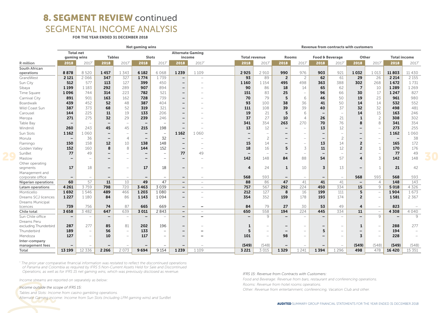## 8. SEGMENT REVIEW continued SEGMENTAL INCOME ANALYSIS

FOR THE YEAR ENDED 31 DECEMBER 2018

|                         |                          |                          |                          |                          | <b>Net gaming wins</b>   |                          |                                                      |                          |                          |                          |                 |                          | <b>Revenue from contracts with customers</b> |                          |                          |                          |                          |          |
|-------------------------|--------------------------|--------------------------|--------------------------|--------------------------|--------------------------|--------------------------|------------------------------------------------------|--------------------------|--------------------------|--------------------------|-----------------|--------------------------|----------------------------------------------|--------------------------|--------------------------|--------------------------|--------------------------|----------|
|                         | <b>Total net</b>         |                          |                          |                          |                          |                          | <b>Alternate Gaming</b>                              |                          |                          |                          |                 |                          |                                              |                          |                          |                          |                          |          |
|                         | gaming wins              |                          |                          | <b>Tables</b>            | <b>Slots</b>             |                          | income                                               |                          | <b>Total revenue</b>     |                          | <b>Rooms</b>    |                          | <b>Food &amp; Beverage</b>                   |                          | Other                    |                          | <b>Total income</b>      |          |
| R million               | 2018                     | 2017                     | 2018                     | 2017*                    | 2018                     | 2017*                    | 2018                                                 | 2017*                    | 2018                     | 2017                     | 2018            | 2017*                    | 2018                                         | 2017                     | 2018                     | 2017*                    | 2018                     | 2017*    |
| South African           |                          |                          |                          |                          |                          |                          |                                                      |                          |                          |                          |                 |                          |                                              |                          |                          |                          |                          |          |
| operations              | 8878                     | 8 5 2 0                  | 1457                     | 1343                     | 6 1 8 2                  | 6 0 6 8                  | 1239                                                 | 1109                     | 2925                     | 2 9 1 0                  | 990             | 976                      | 903                                          | 921                      | 1032                     | 1 0 1 3                  | 11803                    | 11 4 3 0 |
| GrandWest               | 2 1 2 1                  | 2066                     | 347                      | 327                      | 1774                     | 1739                     | $\overline{\phantom{a}}$                             |                          | 93                       | 89                       | $\overline{2}$  | $\overline{c}$           | 62                                           | 61                       | 29                       | 26                       | 2 2 1 4                  | 2 1 5 5  |
| Sun City                | 512                      | 577                      | 113                      | 127                      | 399                      | 450                      | $\overline{\phantom{0}}$                             |                          | 1160                     | 1 1 5 4                  | 495             | 498                      | 363                                          | 388                      | 302                      | 268                      | 1672                     | 1731     |
| Sibaya                  | 1199                     | 1183                     | 292                      | 289                      | 907                      | 894                      | $\qquad \qquad -$                                    |                          | 90                       | 86                       | 18              | 14                       | 65                                           | 62                       | $\overline{7}$           | 10                       | 1289                     | 1269     |
| Time Square             | 1096                     | 744                      | 314                      | 223                      | 782                      | 521                      |                                                      |                          | 151                      | 83                       | 25              |                          | 96                                           | 66                       | 30                       | 17                       | 1 2 4 7                  | 827      |
| Carnival City           | 891                      | 901                      | 163                      | 162                      | 728                      | 739                      | $\overline{\phantom{0}}$                             |                          | 70                       | 79                       | 5               | 6                        | 46                                           | 50                       | 19                       | 23                       | 961                      | 980      |
| Boardwalk               | 439                      | 452                      | 52                       | 48                       | 387                      | 404                      | $\overline{\phantom{0}}$                             |                          | 93                       | 100                      | 38              | 36                       | 41                                           | 50                       | 14                       | 14                       | 532                      | 552      |
| Wild Coast Sun          | 387                      | 373                      | 68                       | 52                       | 319                      | 321                      | $\overline{\phantom{m}}$                             |                          | 111                      | 108                      | 39              | 39                       | 40                                           | 37                       | 32                       | 32                       | 498                      | 481      |
| Carousel                | 144                      | 225                      | 11                       | 19                       | 133                      | 206                      | $\qquad \qquad -$                                    |                          | 19                       | 21                       | -5              | 6                        | $\overline{\phantom{m}}$                     | $\overline{\phantom{0}}$ | 14                       | 15                       | 163                      | 246      |
| Meropa                  | 271                      | 275                      | 32                       | 29                       | 239                      | 246                      | $\overline{\phantom{0}}$                             |                          | 37                       | 27                       | 10              | $\overline{4}$           | 26                                           | 21                       | $\mathbf{1}$             | $\overline{c}$           | 308                      | 302      |
| Table Bay               | $\qquad \qquad$          | $\overline{\phantom{a}}$ |                          |                          | $\overline{\phantom{m}}$ |                          | $\overline{\phantom{0}}$                             |                          | 341                      | 354                      | 263             | 270                      | 70                                           | 76                       | 8                        | 8                        | 341                      | 354      |
| Windmill                | 260                      | 243                      | 45                       | 45                       | 215                      | 198                      | $\overline{\phantom{0}}$                             |                          | 13                       | 12                       |                 | $\overline{\phantom{0}}$ | 13                                           | 12                       |                          | $\overline{\phantom{0}}$ | 273                      | 255      |
| Sun Slots               | 1 1 6 2                  | 1060                     | $\overline{\phantom{m}}$ | $\overline{\phantom{0}}$ | $\overline{\phantom{m}}$ | $\overline{\phantom{0}}$ | 1 1 6 2                                              | 1060                     | $\overline{\phantom{0}}$ | $\overline{\phantom{0}}$ |                 |                          | $\qquad \qquad -$                            | $\overline{\phantom{0}}$ |                          | $\overline{\phantom{0}}$ | 1162                     | 1060     |
| Morula                  | $\overline{\phantom{m}}$ | 36                       | $\overline{\phantom{m}}$ | $\overline{4}$           | $\overline{\phantom{a}}$ | 32                       | $\overline{\phantom{m}}$                             |                          | $\overline{\phantom{m}}$ | $\overline{c}$           | $\qquad \qquad$ | $\overline{\phantom{0}}$ | $\overline{\phantom{m}}$                     | $\overline{c}$           | -                        | $\overline{\phantom{0}}$ | $\overline{\phantom{0}}$ | 38       |
| Flamingo                | 150                      | 158                      | 12                       | 10                       | 138                      | 148                      | $\overline{\phantom{0}}$                             |                          | 15                       | 14                       |                 | $\overline{\phantom{0}}$ | 13                                           | 14                       | $\overline{2}$           | $\overline{\phantom{0}}$ | 165                      | 172      |
| Golden Valley           | 152                      | 160                      | 8                        | 8                        | 144                      | 152                      | $\overline{\phantom{0}}$                             |                          | 18                       | 16                       | 5               | 3                        | 11                                           | 12                       | $\overline{2}$           | $\mathbf{1}$             | 170                      | 176      |
| SunBet                  | 77                       | 49                       |                          | $\overline{\phantom{0}}$ |                          | $\overline{\phantom{0}}$ | 77                                                   | 49                       |                          | $\overline{\phantom{0}}$ |                 |                          | $\qquad \qquad -$                            | $\overline{\phantom{0}}$ |                          |                          | 77                       | 49       |
| Maslow                  | $\overline{\phantom{0}}$ |                          | $\qquad \qquad -$        | $\overline{\phantom{0}}$ |                          |                          | $\overline{\phantom{0}}$                             |                          | 142                      | 148                      | 84              | 88                       | 54                                           | 57                       | 4                        | 3                        | 142                      | 148      |
| Other operating         |                          |                          |                          |                          |                          |                          |                                                      |                          |                          |                          |                 |                          |                                              |                          |                          |                          |                          |          |
| segments                | 17                       | 18                       | $\qquad \qquad -$        | $\overline{\phantom{0}}$ | 17                       | 18                       | $\qquad \qquad -$                                    |                          | 4                        | 24                       | 1               | 10                       | 3                                            | 13                       | $\overline{\phantom{0}}$ | 1                        | 21                       | 42       |
| Management and          |                          |                          |                          |                          |                          |                          |                                                      |                          |                          |                          |                 |                          |                                              |                          |                          |                          |                          |          |
| corporate office        | $\overline{\phantom{m}}$ | $\overline{\phantom{a}}$ | $\overline{\phantom{m}}$ | $\overline{\phantom{m}}$ | $\overline{\phantom{a}}$ | $\overline{\phantom{0}}$ | $\overline{\phantom{a}}$                             |                          | 568                      | 593                      |                 | $\overline{\phantom{a}}$ | $\overline{\phantom{m}}$                     | $\overline{\phantom{a}}$ | 568                      | 593                      | 568                      | 593      |
| Nigerian operations     | 60                       | 57                       | 11                       | 10                       | 49                       | 47                       | $\overline{\phantom{m}}$                             | $\overline{\phantom{0}}$ | 88                       | 86                       | 47              | 41                       | 41                                           | 41                       | $\overline{\phantom{a}}$ | $\overline{4}$           | 148                      | 143      |
| Latam operations        | 4 2 6 1                  | 3759                     | 798                      | 720                      | 3463                     | 3039                     | $\qquad \qquad -$                                    | $\overline{\phantom{a}}$ | 757                      | 567                      | 292             | 224                      | 450                                          | 334                      | 15                       | 9                        | 5 0 18                   | 4 3 2 6  |
| Monticello              | 1692                     | 1546                     | 489                      | 466                      | 1 2 0 3                  | 1080                     | $\overline{\phantom{0}}$                             | $\overline{\phantom{0}}$ | 212                      | 127                      | 8               | 16                       | 199                                          | 111                      | 5                        |                          | 1904                     | 1673     |
| Dreams SCJ licences     | 1 2 2 7                  | 1180                     | 84                       | 86                       | 1143                     | 1094                     | $\overline{\phantom{m}}$                             |                          | 354                      | 352                      | 159             | 178                      | 193                                          | 174                      | $\mathbf{2}$             | $\overline{\phantom{0}}$ | 1581                     | 2 3 6 7  |
| Dreams Municipal        | 739                      | 756                      | 74                       | 87                       | 665                      | 669                      |                                                      | -                        | 84                       | 79                       | 27              | 30                       | 53                                           | 49                       | 4                        | $\overline{\phantom{a}}$ | 823                      |          |
| licences<br>Chile total | 3 6 5 8                  | 3 4 8 2                  | 647                      | 639                      | 3 0 1 1                  | 2843                     | $\overline{\phantom{m}}$<br>$\overline{\phantom{a}}$ | $\overline{\phantom{a}}$ | 650                      | 558                      | 194             | 224                      | 445                                          | 334                      | 11                       | $\overline{\phantom{a}}$ | 4308                     | 4 0 4 0  |
| Sun Chile office        | $\overline{\phantom{0}}$ | $\overline{\phantom{0}}$ | $\overline{\phantom{0}}$ | $\overline{\phantom{0}}$ |                          |                          | $\overline{\phantom{m}}$                             | $\overline{\phantom{0}}$ | $\overline{\phantom{0}}$ | 9                        |                 |                          | $\qquad \qquad -$                            | $\overline{\phantom{0}}$ |                          | 9                        | $\overline{\phantom{0}}$ | 9        |
| Dreams Peru             |                          |                          |                          |                          |                          |                          |                                                      |                          |                          |                          |                 |                          |                                              |                          |                          |                          |                          |          |
| excluding Thunderbird   | 287                      | 277                      | 85                       | 81                       | 202                      | 196                      | $\overline{\phantom{0}}$                             |                          | 1                        | $\overline{\phantom{0}}$ |                 |                          | -                                            | $\overline{\phantom{0}}$ | $\mathbf{1}$             | $\overline{\phantom{0}}$ | 288                      | 277      |
| Thunderbird             | 189                      | $\overline{\phantom{0}}$ | 56                       | $\overline{\phantom{0}}$ | 133                      | $\overline{\phantom{0}}$ |                                                      |                          | 5                        | $\overline{\phantom{0}}$ |                 |                          | 5                                            | $\overline{\phantom{0}}$ |                          | $\overline{\phantom{0}}$ | 194                      |          |
| Mendoza                 | 127                      | $\overline{\phantom{0}}$ | 10                       | $\overline{\phantom{0}}$ | 117                      | $\overline{\phantom{0}}$ | $\overline{\phantom{0}}$                             |                          | 101                      | $\overline{\phantom{a}}$ | 98              |                          | $\qquad \qquad -$                            | $\overline{\phantom{0}}$ | 3                        | $\overline{\phantom{a}}$ | 228                      |          |
| Inter-company           |                          |                          |                          |                          |                          |                          |                                                      |                          |                          |                          |                 |                          |                                              |                          |                          |                          |                          |          |
| management fees         |                          |                          |                          | $\overline{\phantom{0}}$ |                          | $\overline{\phantom{0}}$ | $\overline{\phantom{0}}$                             |                          | (549)                    | (548)                    |                 |                          | $\overline{\phantom{m}}$                     |                          | (549)                    | (548)                    | (549)                    | (548)    |
| Total                   | 13 199                   | 12 3 3 6                 | 2 2 6 6                  | 2 0 7 3                  | 9694                     | 9 1 5 4                  | 1239                                                 | 1109                     | 3 2 2 1                  | 3 0 1 5                  | 1329            | 1 2 4 1                  | 1394                                         | 1296                     | 498                      | 478                      | 16 4 20                  | 15 3 5 1 |

*\* The prior year comparative financial information was restated to reflect the discontinued operations of Panama and Colombia as required by IFRS 5:Non-Current Assets Held for Sale and Discontinued Operations, as well as for IFRS 15 net gaming wins, which was previously disclosed as revenue.*

*Income streams are reported on separately as below:*

### *Income outside the scope of IFRS 15:*

*Tables and Slots: Income from casino gambling operations.*

*Alternate Gaming income: Income from Sun Slots (including LPM gaming wins) and SunBet*

*IFRS 15: Revenue from Contracts with Customers:*

*Food and Beverage: Revenue from bars, restaurant and conferencing operations. Rooms: Revenue from hotel rooms operations.*

*Other: Revenue from entertainment, conferencing, Vacation Club and other.*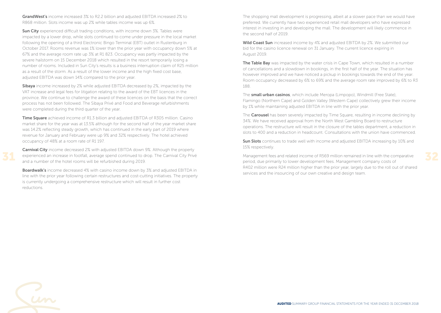GrandWest's income increased 3% to R2.2 billion and adjusted EBITDA increased 2% to R868 million. Slots income was up 2% while tables income was up 6%.

Sun City experienced difficult trading conditions, with income down 3%. Tables were impacted by a lower drop, while slots continued to come under pressure in the local market following the opening of a third Electronic Bingo Terminal (EBT) outlet in Rustenburg in October 2017. Rooms revenue was 1% lower than the prior year with occupancy down 5% at 67% and the average room rate up 3% at R1 823. Occupancy was partly impacted by the severe hailstorm on 15 December 2018 which resulted in the resort temporarily losing a number of rooms. Included in Sun City's results is a business interruption claim of R25 million as a result of the storm. As a result of the lower income and the high fixed cost base, adjusted EBITDA was down 14% compared to the prior year.

**Sibaya** income increased by 2% while adjusted EBITDA decreased by 2%, impacted by the VAT increase and legal fees for litigation relating to the award of the EBT licences in the province. We continue to challenge the award of these licences on the basis that the correct process has not been followed. The Sibaya Privé and Food and Beverage refurbishments were completed during the third quarter of the year.

**Time Square** achieved income of R1.3 billion and adjusted EBITDA of R305 million. Casino market share for the year was at 13.5% although for the second half of the year market share was 14.2% reflecting steady growth, which has continued in the early part of 2019 where revenue for January and February were up 9% and 32% respectively. The hotel achieved occupancy of 48% at a room rate of R1 197.

Carnival City income decreased 2% with adjusted EBITDA down 9%. Although the property experienced an increase in footfall, average spend continued to drop. The Carnival City Privé and a number of the hotel rooms will be refurbished during 2019.

**Boardwalk's** income decreased 4% with casino income down by 3% and adjusted EBITDA in line with the prior year following certain restructures and cost-cutting initiatives. The property is currently undergoing a comprehensive restructure which will result in further cost reductions.

The shopping mall development is progressing, albeit at a slower pace than we would have preferred. We currently have two experienced retail mall developers who have expressed interest in investing in and developing the mall. The development will likely commence in the second half of 2019.

Wild Coast Sun increased income by 4% and adjusted EBITDA by 2%. We submitted our bid for the casino licence renewal on 31 January. The current licence expiring in August 2019.

The Table Bay was impacted by the water crisis in Cape Town, which resulted in a number of cancellations and a slowdown in bookings, in the first half of the year. The situation has however improved and we have noticed a pickup in bookings towards the end of the year. Room occupancy decreased by 6% to 69% and the average room rate improved by 6% to R3 188.

The small urban casinos, which include Meropa (Limpopo), Windmill (Free State), Flamingo (Northern Cape) and Golden Valley (Western Cape) collectively grew their income by 1% while maintaining adjusted EBITDA in line with the prior year.

The **Carousel** has been severely impacted by Time Square, resulting in income declining by 34%. We have received approval from the North West Gambling Board to restructure operations. The restructure will result in the closure of the tables department, a reduction in slots to 400 and a reduction in headcount. Consultations with the union have commenced.

Sun Slots continues to trade well with income and adjusted EBITDA increasing by 10% and 15% respectively.

Management fees and related income of R569 million remained in line with the comparative period, due primarily to lower development fees. Management company costs of R402 million were R24 million higher than the prior year, largely due to the roll out of shared services and the insourcing of our own creative and design team.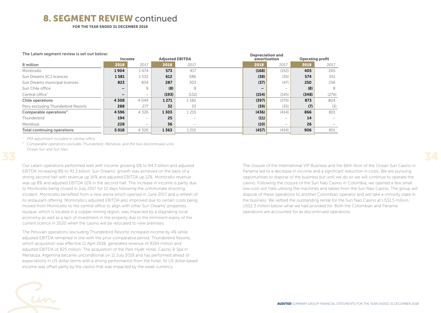### 8. SEGMENT REVIEW continued

FOR THE YEAR ENDED 31 DECEMBER 2018

|                                    | <b>Income</b> |                          | <b>Adjusted EBITDA</b> |         |  | amortisation | Depreciation and |       | <b>Operating profit</b> |  |  |
|------------------------------------|---------------|--------------------------|------------------------|---------|--|--------------|------------------|-------|-------------------------|--|--|
|                                    |               |                          |                        |         |  |              |                  |       |                         |  |  |
| R million                          | 2018          | 2017                     | 2018                   | 2017    |  | 2018         | 2017             | 2018  | 2017                    |  |  |
| Monticello                         | 1904          | 1674                     | 573                    | 417     |  | (168)        | (152)            | 405   | 265                     |  |  |
| Sun Dreams SCJ licences            | 1581          | 1532                     | 612                    | 586     |  | (38)         | (35)             | 574   | 551                     |  |  |
| Sun Dreams municipal licences      | 823           | 834                      | 287                    | 303     |  | (37)         | (47)             | 250   | 256                     |  |  |
| Sun Chile office                   |               | 9                        | (8)                    | 8       |  |              |                  | (8)   | 8                       |  |  |
| Central office <sup>*</sup>        |               | $\overline{\phantom{a}}$ | (193)                  | (132)   |  | (154)        | (145)            | (348) | (276)                   |  |  |
| Chile operations                   | 4 3 0 8       | 4049                     | 1 2 7 1                | 1 1 8 2 |  | (397)        | (379)            | 873   | 804                     |  |  |
| Peru excluding Thunderbird Resorts | 288           | 277                      | 32                     | 33      |  | (39)         | (35)             | (7)   | (3)                     |  |  |
| Comparable operations**            | 4596          | 4 3 2 6                  | 1303                   | 1 2 1 5 |  | (436)        | (414)            | 866   | 801                     |  |  |
| Thunderbird                        | 194           | $\overline{\phantom{a}}$ | 25                     |         |  | (11)         | -                | 14    |                         |  |  |
| Mendoza                            | 228           | $\overline{\phantom{a}}$ | 36                     |         |  | (10)         |                  | 26    |                         |  |  |
| Total continuing operations        | 5018          | 4 3 2 6                  | 1363                   | 1 2 1 5 |  | (457)        | (414)            | 906   | 801                     |  |  |
|                                    |               |                          |                        |         |  |              |                  |       |                         |  |  |

#### The Latam segment review is set out below:

*\* PPA adjustment included in central office.*

*\*\* Comparable operations excludes Thunderbird, Mendoza, and the two discontinued units: Ocean Sun and Sun Nao.*

Our Latam operations performed well with income growing 6% to R4.3 billion and adjusted EBITDA increasing 8% to R1.3 billion. Sun Dreams' growth was achieved on the back of a strong second half with revenue up 16% and adjusted EBITDA up 12%. Monticello revenue was up 8% and adjusted EBITDA 12% in the second half. The increase in income is partly due to Monticello being closed in July 2017 for 12 days following the unfortunate shooting incident. Monticello benefited from a new arena which opened in June 2017 and a refresh of its restaurant offering. Monticello's adjusted EBITDA also improved due to certain costs being moved from Monticello to the central office to align with other Sun Dreams' properties. Iquique, which is located in a copper mining region, was impacted by a stagnating local economy as well as a lack of investment in the property due to the imminent expiry of the current licence in 2020 when the casino will be relocated to new premises.

The Peruvian operations (excluding Thunderbird Resorts) increased income by 4% while adjusted EBITDA remained in line with the prior comparative period. Thunderbird Resorts, which acquisition was effective 11 April 2018, generated revenue of R194 million and adjusted EBITDA of R25 million. The acquisition of the Park Hyatt Hotel, Casino & Spa in Mendoza, Argentina became unconditional on 11 July 2018 and has performed ahead of expectations in US dollar terms with a strong performance from the hotel. Its US dollar based income was offset partly by the casino that was impacted by the weak currency.

The closure of the International VIP Business and the 66th floor of the Ocean Sun Casino in Panama led to a decrease in income and a significant reduction in costs. We are pursuing opportunities to dispose of the business but until we do so we will continue to operate the casino. Following the closure of the Sun Nao Casino in Colombia, we opened a few small low-cost slot halls utilising the machines and tables from the Sun Nao Casino. The group will dispose of these operations to another Colombian operator and will take a minority stake in the business. We settled the outstanding rental for the Sun Nao Casino at US\$1.5 million, US\$2.3 million below what we had provided for. Both the Colombian and Panama operations are accounted for as discontinued operations.

Depreciation and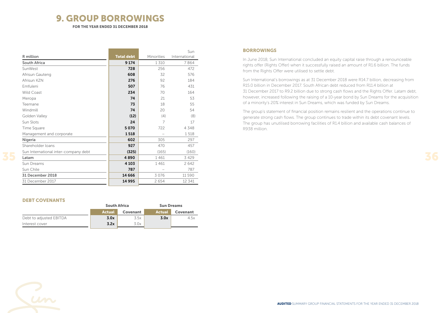### 9. GROUP BORROWINGS

FOR THE YEAR ENDED 31 DECEMBER 2018

| R million                            |                   |            | Sun           |
|--------------------------------------|-------------------|------------|---------------|
|                                      | <b>Total debt</b> | Minorities | International |
| South Africa                         | 9 1 7 4           | 1310       | 7864          |
| SunWest                              | 728               | 256        | 472           |
| Afrisun Gauteng                      | 608               | 32         | 576           |
| Afrisun KZN                          | 276               | 92         | 184           |
| Emfuleni                             | 507               | 76         | 431           |
| <b>Wild Coast</b>                    | 234               | 70         | 164           |
| Meropa                               | 74                | 21         | 53            |
| Teemane                              | 73                | 18         | 55            |
| Windmill                             | 74                | 20         | 54            |
| Golden Valley                        | (12)              | (4)        | (8)           |
| Sun Slots                            | 24                | 7          | 17            |
| Time Square                          | 5070              | 722        | 4348          |
| Management and corporate             | 1518              |            | 1518          |
| Nigeria                              | 602               | 305        | 297           |
| Shareholder loans                    | 927               | 470        | 457           |
| Sun International inter-company debt | (325)             | (165)      | (160)         |
| Latam                                | 4890              | 1461       | 3 4 2 9       |
| Sun Dreams                           | 4 1 0 3           | 1461       | 2642          |
| Sun Chile                            | 787               |            | 787           |
| 31 December 2018                     | 14 6 6 6          | 3076       | 11 590        |
| 31 December 2017                     | 14 9 95           | 2654       | 12 341        |

### DEBT COVENANTS

|                         | <b>South Africa</b> |          | <b>Sun Dreams</b> |          |
|-------------------------|---------------------|----------|-------------------|----------|
|                         | <b>Actual</b>       | Covenant | <b>Actual</b>     | Covenant |
| Debt to adjusted EBITDA | 3.0x                | 3.5x     | 3.0x              | 4.5x     |
| Interest cover          | 3.2x                | 3.0x     |                   |          |

### **BORROWINGS**

In June 2018, Sun International concluded an equity capital raise through a renounceable rights offer (Rights Offer) when it successfully raised an amount of R1.6 billion. The funds from the Rights Offer were utilised to settle debt.

Sun International's borrowings as at 31 December 2018 were R14.7 billion, decreasing from R15.0 billion in December 2017. South African debt reduced from R11.4 billion at 31 December 2017 to R9.2 billion due to strong cash flows and the Rights Offer. Latam debt, however, increased following the raising of a 10-year bond by Sun Dreams for the acquisition of a minority's 20% interest in Sun Dreams, which was funded by Sun Dreams.

The group's statement of financial position remains resilient and the operations continue to generate strong cash flows. The group continues to trade within its debt covenant levels. The group has unutilised borrowing facilities of R1.4 billion and available cash balances of R938 million.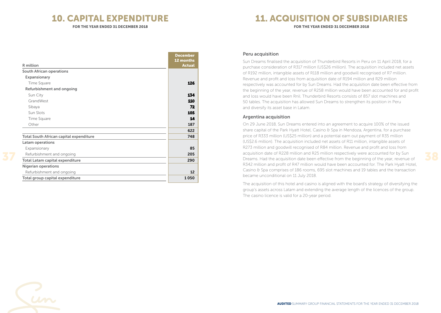### 10. CAPITAL EXPENDITURE

FOR THE YEAR ENDED 31 DECEMBER 2018

## 11. ACQUISITION OF SUBSIDIARIES

FOR THE YEAR ENDED 31 DECEMBER 2018

|                                                | <b>December</b> |
|------------------------------------------------|-----------------|
|                                                | 12 months       |
| R million                                      | <b>Actual</b>   |
| South African operations                       |                 |
| Expansionary                                   |                 |
| Time Square                                    | 126             |
| Refurbishment and ongoing                      |                 |
| Sun City                                       | 134             |
| GrandWest                                      | 110             |
| Sibaya                                         | 72              |
| Sun Slots                                      | 105             |
| Time Square                                    | 14              |
| Other                                          | 187             |
|                                                | 622             |
| <b>Total South African capital expenditure</b> | 748             |
| Latam operations                               |                 |
| Expansionary                                   | 85              |
| Refurbishment and ongoing                      | 205             |
| Total Latam capital expenditure                | 290             |
| <b>Nigerian operations</b>                     |                 |
| Refurbishment and ongoing                      | 12              |
| Total group capital expenditure                | 1050            |

### Peru acquisition

Sun Dreams finalised the acquisition of Thunderbird Resorts in Peru on 11 April 2018, for a purchase consideration of R317 million (US\$26 million). The acquisition included net assets of R192 million, intangible assets of R118 million and goodwill recognised of R7 million. Revenue and profit and loss from acquisition date of R194 million and R29 million respectively was accounted for by Sun Dreams. Had the acquisition date been effective from the beginning of the year, revenue of R258 million would have been accounted for and profit and loss would have been Rnil. Thunderbird Resorts consists of 857 slot machines and 50 tables. The acquisition has allowed Sun Dreams to strengthen its position in Peru and diversify its asset base in Latam.

### Argentina acquisition

On 29 June 2018, Sun Dreams entered into an agreement to acquire 100% of the issued share capital of the Park Hyatt Hotel, Casino & Spa in Mendoza, Argentina, for a purchase price of R333 million (US\$25 million) and a potential earn out payment of R35 million (US\$2.6 million). The acquisition included net assets of R11 million, intangible assets of R273 million and goodwill recognised of R84 million. Revenue and profit and loss from acquisition date of R228 million and R25 million respectively were accounted for by Sun Dreams. Had the acquisition date been effective from the beginning of the year, revenue of R342 million and profit of R47 million would have been accounted for. The Park Hyatt Hotel, Casino & Spa comprises of 186 rooms, 695 slot machines and 19 tables and the transaction became unconditional on 11 July 2018.

The acquisition of this hotel and casino is aligned with the board's strategy of diversifying the group's assets across Latam and extending the average length of the licences of the group. The casino licence is valid for a 20-year period.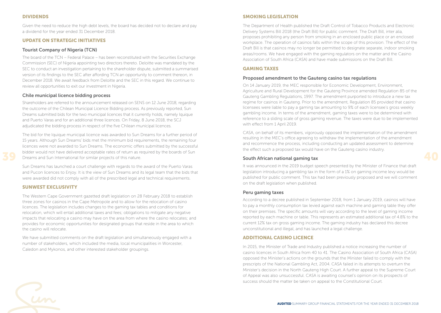### DIVIDENDS

Given the need to reduce the high debt levels, the board has decided not to declare and pay a dividend for the year ended 31 December 2018.

### UPDATE ON STRATEGIC INITIATIVES

### Tourist Company of Nigeria (TCN)

The board of the TCN – Federal Palace – has been reconstituted with the Securities Exchange Commission (SEC) of Nigeria appointing two directors thereto. Deloitte was mandated by the SEC to conduct an investigation pertaining to the shareholder dispute, submitted a summarised version of its findings to the SEC after affording TCN an opportunity to comment thereon, in December 2018. We await feedback from Deloitte and the SEC in this regard. We continue to review all opportunities to exit our investment in Nigeria.

### Chile municipal licence bidding process

Shareholders are referred to the announcement released on SENS on 12 June 2018, regarding the outcome of the Chilean Municipal Licence Bidding process. As previously reported, Sun Dreams submitted bids for the two municipal licences that it currently holds, namely Iquique and Puerto Varas and for an additional three licences. On Friday, 8 June 2018, the SCJ adjudicated the bidding process in respect of the five Chilean municipal licences.

The bid for the Iquique municipal licence was awarded to Sun Dreams for a further period of 15 years. Although Sun Dreams' bids met the minimum bid requirements, the remaining four licences were not awarded to Sun Dreams. The economic offers submitted by the successful bidder would not have delivered acceptable rates of return as required by the boards of Sun Dreams and Sun International for similar projects of this nature.

Sun Dreams has launched a court challenge with regards to the award of the Puerto Varas and Pucon licences to Enjoy. It is the view of Sun Dreams and its legal team that the bids that were awarded did not comply with all of the prescribed legal and technical requirements.

#### SUNWEST EXCLUSIVITY

The Western Cape Government gazetted draft legislation on 28 February 2018 to establish three zones for casinos in the Cape Metropole and to allow for the relocation of casino licences. The legislation includes changes to the gaming tax tables and conditions for relocation, which will entail additional taxes and fees; obligations to mitigate any negative impacts that relocating a casino may have on the area from where the casino relocates; and provides for economic opportunities for designated groups that reside in the area to which the casino will relocate.

We have submitted comments on the draft legislation and simultaneously engaged with a number of stakeholders, which included the media, local municipalities in Worcester, Caledon and Mykonos, and other interested stakeholder groupings.

### SMOKING LEGISLATION

The Department of Health published the Draft Control of Tobacco Products and Electronic Delivery Systems Bill 2018 (the Draft Bill) for public comment. The Draft Bill, inter alia, proposes prohibiting any person from smoking in an enclosed public place or an enclosed workplace. The operation of casinos falls within the scope of this provision. The effect of the Draft Bill is that casinos may no longer be permitted to designate separate, indoor smoking areas/rooms. We have engaged with the gaming regulators on the matter and the Casino Association of South Africa (CASA) and have made submissions on the Draft Bill.

#### GAMING TAXES

#### Proposed amendment to the Gauteng casino tax regulations

On 14 January 2019, the MEC responsible for Economic Development, Environment, Agriculture and Rural Development for the Gauteng Province amended Regulation 85 of the Gauteng Gambling Regulations, 1997. The amendment purported to introduce a new tax regime for casinos in Gauteng. Prior to the amendment, Regulation 85 provided that casino licensees were liable to pay a gaming tax amounting to 9% of each licensee's gross weekly gambling income. In terms of the amendment, gaming taxes were to be determined with reference to a sliding scale of gross gaming revenue. The taxes were due to be implemented with effect from 1 April 2019.

CASA, on behalf of its members, vigorously opposed the implementation of the amendment resulting in the MEC's office agreeing to withdraw the implementation of the amendment and recommence the process, including conducting an updated assessment to determine the effect such a proposed tax would have on the Gauteng casino industry.

#### South African national gaming tax

It was announced in the 2019 budget speech presented by the Minister of Finance that draft legislation introducing a gambling tax in the form of a 1% on gaming income levy would be published for public comment. This tax had been previously proposed and we will comment on the draft legislation when published.

#### Peru gaming taxes

According to a decree published in September 2018, from 1 January 2019, casinos will have to pay a monthly consumption tax levied against each machine and gaming table they offer on their premises. The specific amounts will vary according to the level of gaming income reported by each machine or table. This represents an estimated additional tax of 4.8% to the current 12% tax on gross gaming income. The gaming industry has declared this decree unconstitutional and illegal, and has launched a legal challenge.

### ADDITIONAL CASINO LICENCE

In 2015, the Minister of Trade and Industry published a notice increasing the number of casino licences in South Africa from 40 to 41. The Casino Association of South Africa (CASA) opposed the Minister's actions on the grounds that the Minister failed to comply with the prescripts of the National Gambling Act, 2004. CASA failed in its attempts to overturn the Minister's decision in the North Gauteng High Court. A further appeal to the Supreme Court of Appeal was also unsuccessful. CASA is awaiting counsel's opinion on its prospects of success should the matter be taken on appeal to the Constitutional Court.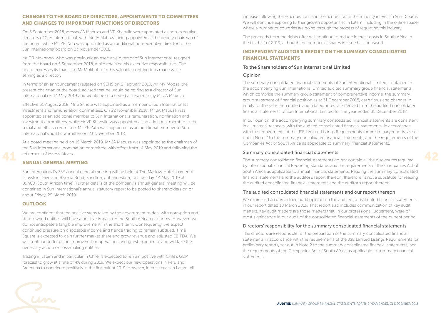### CHANGES TO THE BOARD OF DIRECTORS, APPOINTMENTS TO COMMITTEES AND CHANGES TO IMPORTANT FUNCTIONS OF DIRECTORS

On 5 September 2018, Messrs JA Mabuza and VP Khanyile were appointed as non-executive directors of Sun International, with Mr JA Mabuza being appointed as the deputy chairman of the board, while Ms ZP Zatu was appointed as an additional non-executive director to the Sun International board on 23 November 2018.

Mr DR Mokhobo, who was previously an executive director of Sun International, resigned from the board on 5 September 2018, while retaining his executive responsibilities. The board expresses its thanks to Mr Mokhobo for his valuable contributions made while serving as a director.

In terms of an announcement released on SENS on 6 February 2019, Mr MV Moosa, the present chairman of the board, advised that he would be retiring as a director of Sun International on 14 May 2019 and would be succeeded as chairman by Mr JA Mabuza.

Effective 31 August 2018, Mr S Sithole was appointed as a member of Sun International's investment and remuneration committees. On 22 November 2018, Mr JA Mabuza was appointed as an additional member to Sun International's remuneration, nomination and investment committees, while Mr VP Khanyile was appointed as an additional member to the social and ethics committee. Ms ZP Zatu was appointed as an additional member to Sun International's audit committee on 23 November 2018.

At a board meeting held on 15 March 2019, Mr JA Mabuza was appointed as the chairman of the Sun International nomination committee with effect from 14 May 2019 and following the retirement of Mr MV Moosa.

### ANNUAL GENERAL MEETING

Sun International's 35<sup>th</sup> annual general meeting will be held at The Maslow Hotel, corner of Grayston Drive and Rivonia Road, Sandton, Johannesburg on Tuesday, 14 May 2019 at 09h00 (South African time). Further details of the company's annual general meeting will be contained in Sun International's annual statutory report to be posted to shareholders on or about Friday, 29 March 2019.

### **OUTLOOK**

We are confident that the positive steps taken by the government to deal with corruption and state-owned entities will have a positive impact on the South African economy. However; we do not anticipate a tangible improvement in the short term. Consequently, we expect continued pressure on disposable income and hence trading to remain subdued. Time Square is expected to gain further market share and grow revenue and adjusted EBITDA. We will continue to focus on improving our operations and guest experience and will take the necessary action on loss-making entities.

Trading in Latam and in particular in Chile, is expected to remain positive with Chile's GDP forecast to grow at a rate of 4% during 2019. We expect our new operations in Peru and Argentina to contribute positively in the first half of 2019. However, interest costs in Latam will increase following these acquisitions and the acquisition of the minority interest in Sun Dreams. We will continue exploring further growth opportunities in Latam, including in the online space, where a number of countries are going through the process of regulating this industry.

The proceeds from the rights offer will continue to reduce interest costs in South Africa in the first half of 2019, although the number of shares in issue has increased.

### INDEPENDENT AUDITOR'S REPORT ON THE SUMMARY CONSOLIDATED FINANCIAL STATEMENTS

### To the Shareholders of Sun International Limited

### Opinion

The summary consolidated financial statements of Sun International Limited, contained in the accompanying Sun International Limited audited summary group financial statements, which comprise the summary group statement of comprehensive income, the summary group statement of financial position as at 31 December 2018, cash flows and changes in equity for the year then ended, and related notes, are derived from the audited consolidated financial statements of Sun International Limited for the year ended 31 December 2018.

In our opinion, the accompanying summary consolidated financial statements are consistent, in all material respects, with the audited consolidated financial statements, in accordance with the requirements of the JSE Limited Listings Requirements for preliminary reports, as set out in Note 2 to the summary consolidated financial statements, and the requirements of the Companies Act of South Africa as applicable to summary financial statements.

### Summary consolidated financial statements

The summary consolidated financial statements do not contain all the disclosures required by International Financial Reporting Standards and the requirements of the Companies Act of South Africa as applicable to annual financial statements. Reading the summary consolidated financial statements and the auditor's report thereon, therefore, is not a substitute for reading the audited consolidated financial statements and the auditor's report thereon.

### The audited consolidated financial statements and our report thereon

We expressed an unmodified audit opinion on the audited consolidated financial statements in our report dated 18 March 2019. That report also includes communication of key audit matters. Key audit matters are those matters that, in our professional judgement, were of most significance in our audit of the consolidated financial statements of the current period.

### Directors' responsibility for the summary consolidated financial statements

The directors are responsible for the preparation of the summary consolidated financial statements in accordance with the requirements of the JSE Limited Listings Requirements for preliminary reports, set out in Note 2 to the summary consolidated financial statements, and the requirements of the Companies Act of South Africa as applicable to summary financial statements.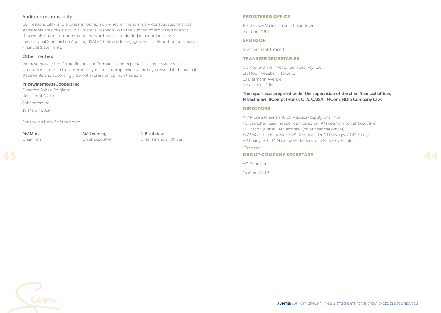### Auditor's responsibility

Our responsibility is to express an opinion on whether the summary consolidated financial statements are consistent, in all material respects, with the audited consolidated financial statements based on our procedures, which were conducted in accordance with International Standard on Auditing (ISA) 810 (Revised): Engagements to Report on Summary Financial Statements.

### Other matters

We have not audited future financial performance and expectations expressed by the directors included in the commentary in the accompanying summary consolidated financial statements and accordingly do not express an opinion thereon.

### PricewaterhouseCoopers Inc.

Director: Johan Potgieter Registered Auditor Johannesburg 18 March 2019

For and on behalf of the board.

MV Moosa **AM Leeming** N Basthdaw

Chairman Chief Executive Chief Financial Officer

### REGISTERED OFFICE

6 Sandown Valley Crescent, Sandown, Sandton 2196

### SPONSOR

Investec Bank Limited

### TRANSFER SECRETARIES

Computershare Investor Services (Pty) Ltd, 1st Floor, Rosebank Towers, 15 Biermann Avenue, Rosebank, 2196

### The report was prepared under the supervision of the chief financial officer, N Basthdaw; BCompt (Hons), CTA, CA(SA), MCom, HDip Company Law.

### DIRECTORS

MV Moosa (chairman), JA Mabuza (deputy chairman), PL Campher (lead independent director), AM Leeming (chief executive)\* , PD Bacon (British), N Basthdaw (chief financial officer)\* , EAMMG Cibie (Chilean), GW Dempster, Dr NN Gwagwa, CM Henry, VP Khanyile, BLM Makgabo-Fiskerstrand, S Sithole, ZP Zatu

*\* Executive*

### GROUP COMPANY SECRETARY

AG Johnston

15 March 2019